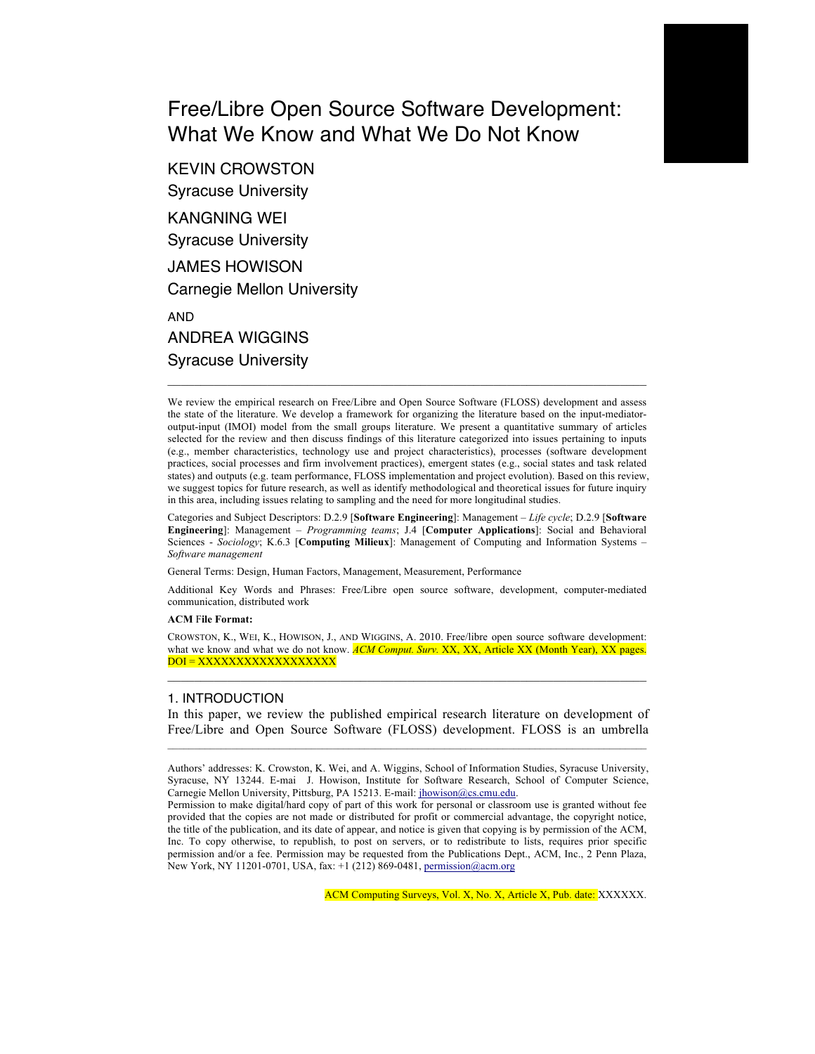# Free/Libre Open Source Software Development: What We Know and What We Do Not Know

KEVIN CROWSTON Syracuse University KANGNING WEI Syracuse University JAMES HOWISON Carnegie Mellon University AND ANDREA WIGGINS Syracuse University

We review the empirical research on Free/Libre and Open Source Software (FLOSS) development and assess the state of the literature. We develop a framework for organizing the literature based on the input-mediatoroutput-input (IMOI) model from the small groups literature. We present a quantitative summary of articles selected for the review and then discuss findings of this literature categorized into issues pertaining to inputs (e.g., member characteristics, technology use and project characteristics), processes (software development practices, social processes and firm involvement practices), emergent states (e.g., social states and task related states) and outputs (e.g. team performance, FLOSS implementation and project evolution). Based on this review, we suggest topics for future research, as well as identify methodological and theoretical issues for future inquiry in this area, including issues relating to sampling and the need for more longitudinal studies.

 $\mathcal{L}_\text{max}$ 

Categories and Subject Descriptors: D.2.9 [**Software Engineering**]: Management – *Life cycle*; D.2.9 [**Software Engineering**]: Management – *Programming teams*; J.4 [**Computer Applications**]: Social and Behavioral Sciences - *Sociology*; K.6.3 [**Computing Milieux**]: Management of Computing and Information Systems – *Software management*

General Terms: Design, Human Factors, Management, Measurement, Performance

Additional Key Words and Phrases: Free/Libre open source software, development, computer-mediated communication, distributed work

#### **ACM** F**ile Format:**

CROWSTON, K., WEI, K., HOWISON, J., AND WIGGINS, A. 2010. Free/libre open source software development: what we know and what we do not know. *ACM Comput. Surv. XX, XX, Article XX (Month Year), XX pages.* DOI = XXXXXXXXXXXXXXXXXX

#### 1. INTRODUCTION

In this paper, we review the published empirical research literature on development of Free/Libre and Open Source Software (FLOSS) development. FLOSS is an umbrella  $\mathcal{L}_\mathcal{L} = \{ \mathcal{L}_\mathcal{L} = \{ \mathcal{L}_\mathcal{L} = \{ \mathcal{L}_\mathcal{L} = \{ \mathcal{L}_\mathcal{L} = \{ \mathcal{L}_\mathcal{L} = \{ \mathcal{L}_\mathcal{L} = \{ \mathcal{L}_\mathcal{L} = \{ \mathcal{L}_\mathcal{L} = \{ \mathcal{L}_\mathcal{L} = \{ \mathcal{L}_\mathcal{L} = \{ \mathcal{L}_\mathcal{L} = \{ \mathcal{L}_\mathcal{L} = \{ \mathcal{L}_\mathcal{L} = \{ \mathcal{L}_\mathcal{$ 

Authors' addresses: K. Crowston, K. Wei, and A. Wiggins, School of Information Studies, Syracuse University, Syracuse, NY 13244. E-mai J. Howison, Institute for Software Research, School of Computer Science, Carnegie Mellon University, Pittsburg, PA 15213. E-mail: jhowison@cs.cmu.edu.

Permission to make digital/hard copy of part of this work for personal or classroom use is granted without fee provided that the copies are not made or distributed for profit or commercial advantage, the copyright notice, the title of the publication, and its date of appear, and notice is given that copying is by permission of the ACM, Inc. To copy otherwise, to republish, to post on servers, or to redistribute to lists, requires prior specific permission and/or a fee. Permission may be requested from the Publications Dept., ACM, Inc., 2 Penn Plaza, New York, NY 11201-0701, USA, fax: +1 (212) 869-0481, permission@acm.org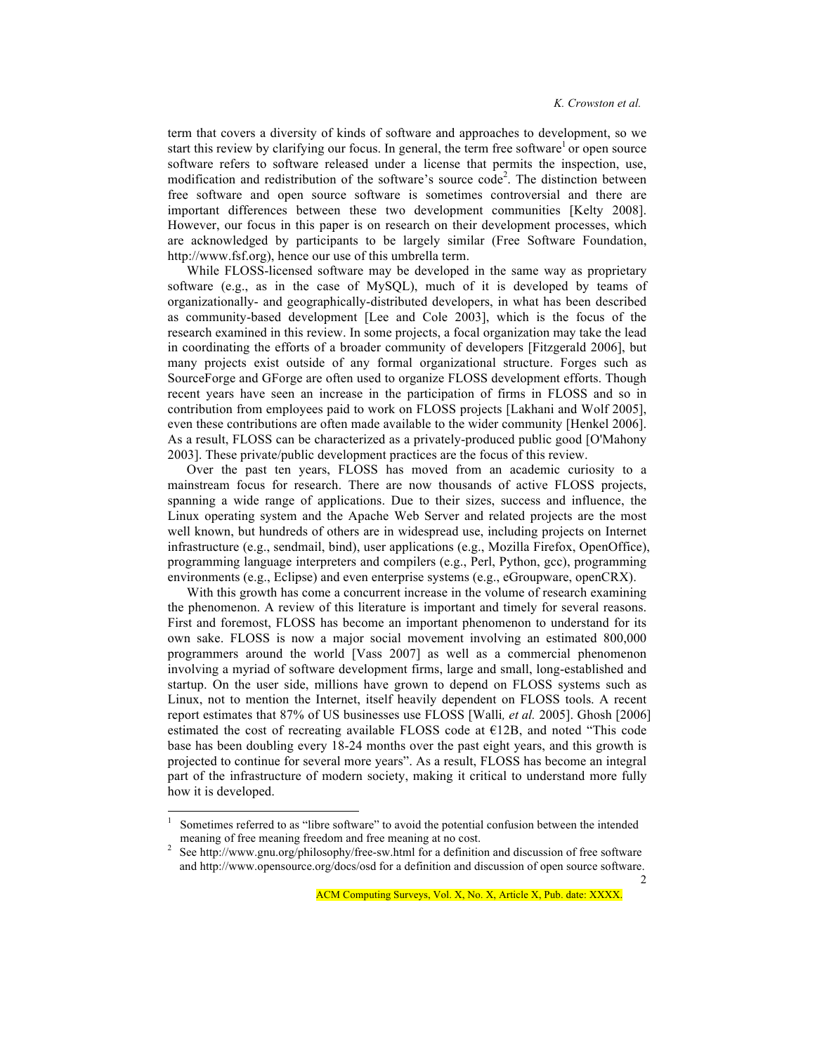term that covers a diversity of kinds of software and approaches to development, so we start this review by clarifying our focus. In general, the term free software or open source software refers to software released under a license that permits the inspection, use, modification and redistribution of the software's source code<sup>2</sup>. The distinction between free software and open source software is sometimes controversial and there are important differences between these two development communities [Kelty 2008]. However, our focus in this paper is on research on their development processes, which are acknowledged by participants to be largely similar (Free Software Foundation, http://www.fsf.org), hence our use of this umbrella term.

While FLOSS-licensed software may be developed in the same way as proprietary software (e.g., as in the case of MySQL), much of it is developed by teams of organizationally- and geographically-distributed developers, in what has been described as community-based development [Lee and Cole 2003], which is the focus of the research examined in this review. In some projects, a focal organization may take the lead in coordinating the efforts of a broader community of developers [Fitzgerald 2006], but many projects exist outside of any formal organizational structure. Forges such as SourceForge and GForge are often used to organize FLOSS development efforts. Though recent years have seen an increase in the participation of firms in FLOSS and so in contribution from employees paid to work on FLOSS projects [Lakhani and Wolf 2005], even these contributions are often made available to the wider community [Henkel 2006]. As a result, FLOSS can be characterized as a privately-produced public good [O'Mahony 2003]. These private/public development practices are the focus of this review.

Over the past ten years, FLOSS has moved from an academic curiosity to a mainstream focus for research. There are now thousands of active FLOSS projects, spanning a wide range of applications. Due to their sizes, success and influence, the Linux operating system and the Apache Web Server and related projects are the most well known, but hundreds of others are in widespread use, including projects on Internet infrastructure (e.g., sendmail, bind), user applications (e.g., Mozilla Firefox, OpenOffice), programming language interpreters and compilers (e.g., Perl, Python, gcc), programming environments (e.g., Eclipse) and even enterprise systems (e.g., eGroupware, openCRX).

With this growth has come a concurrent increase in the volume of research examining the phenomenon. A review of this literature is important and timely for several reasons. First and foremost, FLOSS has become an important phenomenon to understand for its own sake. FLOSS is now a major social movement involving an estimated 800,000 programmers around the world [Vass 2007] as well as a commercial phenomenon involving a myriad of software development firms, large and small, long-established and startup. On the user side, millions have grown to depend on FLOSS systems such as Linux, not to mention the Internet, itself heavily dependent on FLOSS tools. A recent report estimates that 87% of US businesses use FLOSS [Walli*, et al.* 2005]. Ghosh [2006] estimated the cost of recreating available FLOSS code at  $E12B$ , and noted "This code base has been doubling every 18-24 months over the past eight years, and this growth is projected to continue for several more years". As a result, FLOSS has become an integral part of the infrastructure of modern society, making it critical to understand more fully how it is developed.

 $\mathcal{D}$ 

 <sup>1</sup> Sometimes referred to as "libre software" to avoid the potential confusion between the intended meaning of free meaning freedom and free meaning at no cost. 2

See http://www.gnu.org/philosophy/free-sw.html for a definition and discussion of free software and http://www.opensource.org/docs/osd for a definition and discussion of open source software.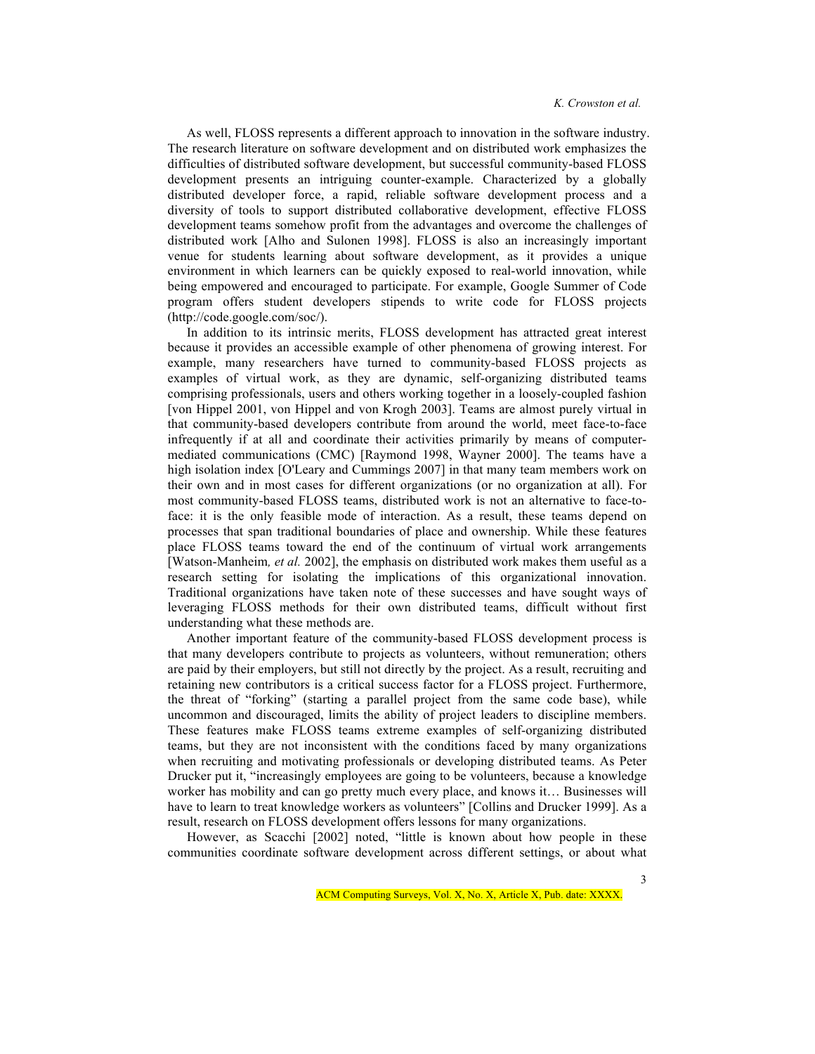As well, FLOSS represents a different approach to innovation in the software industry. The research literature on software development and on distributed work emphasizes the difficulties of distributed software development, but successful community-based FLOSS development presents an intriguing counter-example. Characterized by a globally distributed developer force, a rapid, reliable software development process and a diversity of tools to support distributed collaborative development, effective FLOSS development teams somehow profit from the advantages and overcome the challenges of distributed work [Alho and Sulonen 1998]. FLOSS is also an increasingly important venue for students learning about software development, as it provides a unique environment in which learners can be quickly exposed to real-world innovation, while being empowered and encouraged to participate. For example, Google Summer of Code program offers student developers stipends to write code for FLOSS projects (http://code.google.com/soc/).

In addition to its intrinsic merits, FLOSS development has attracted great interest because it provides an accessible example of other phenomena of growing interest. For example, many researchers have turned to community-based FLOSS projects as examples of virtual work, as they are dynamic, self-organizing distributed teams comprising professionals, users and others working together in a loosely-coupled fashion [von Hippel 2001, von Hippel and von Krogh 2003]. Teams are almost purely virtual in that community-based developers contribute from around the world, meet face-to-face infrequently if at all and coordinate their activities primarily by means of computermediated communications (CMC) [Raymond 1998, Wayner 2000]. The teams have a high isolation index [O'Leary and Cummings 2007] in that many team members work on their own and in most cases for different organizations (or no organization at all). For most community-based FLOSS teams, distributed work is not an alternative to face-toface: it is the only feasible mode of interaction. As a result, these teams depend on processes that span traditional boundaries of place and ownership. While these features place FLOSS teams toward the end of the continuum of virtual work arrangements [Watson-Manheim*, et al.* 2002], the emphasis on distributed work makes them useful as a research setting for isolating the implications of this organizational innovation. Traditional organizations have taken note of these successes and have sought ways of leveraging FLOSS methods for their own distributed teams, difficult without first understanding what these methods are.

Another important feature of the community-based FLOSS development process is that many developers contribute to projects as volunteers, without remuneration; others are paid by their employers, but still not directly by the project. As a result, recruiting and retaining new contributors is a critical success factor for a FLOSS project. Furthermore, the threat of "forking" (starting a parallel project from the same code base), while uncommon and discouraged, limits the ability of project leaders to discipline members. These features make FLOSS teams extreme examples of self-organizing distributed teams, but they are not inconsistent with the conditions faced by many organizations when recruiting and motivating professionals or developing distributed teams. As Peter Drucker put it, "increasingly employees are going to be volunteers, because a knowledge worker has mobility and can go pretty much every place, and knows it… Businesses will have to learn to treat knowledge workers as volunteers" [Collins and Drucker 1999]. As a result, research on FLOSS development offers lessons for many organizations.

However, as Scacchi [2002] noted, "little is known about how people in these communities coordinate software development across different settings, or about what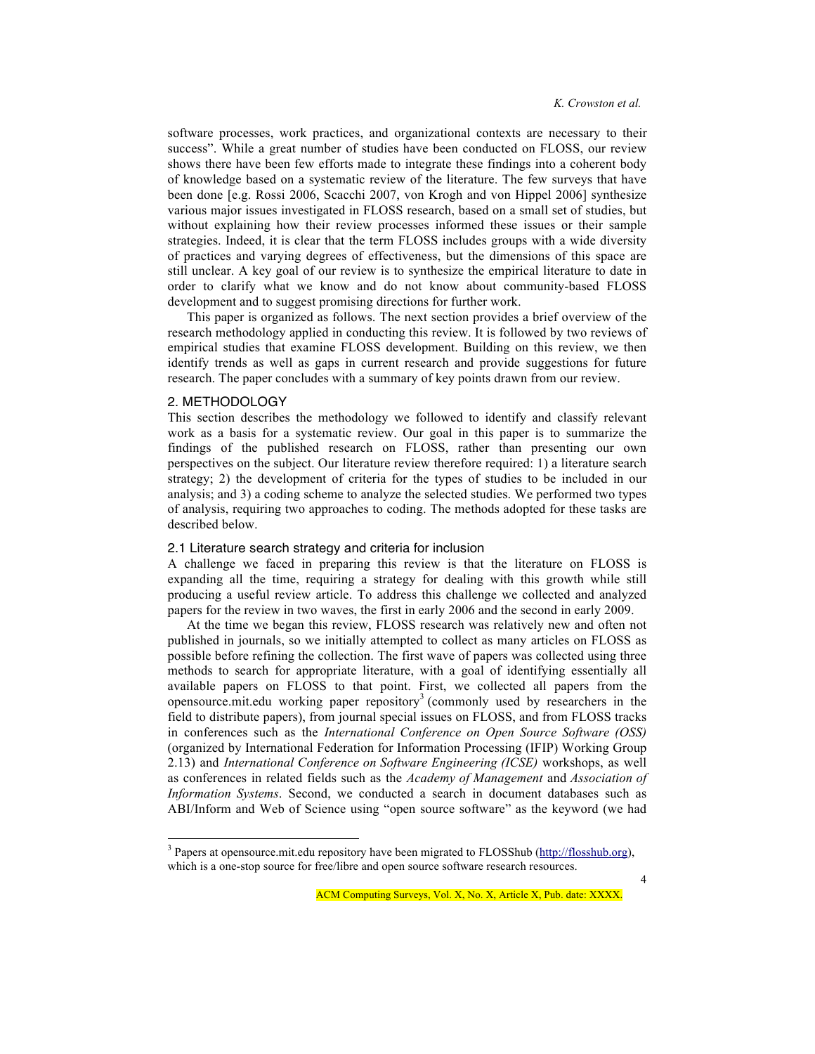software processes, work practices, and organizational contexts are necessary to their success". While a great number of studies have been conducted on FLOSS, our review shows there have been few efforts made to integrate these findings into a coherent body of knowledge based on a systematic review of the literature. The few surveys that have been done [e.g. Rossi 2006, Scacchi 2007, von Krogh and von Hippel 2006] synthesize various major issues investigated in FLOSS research, based on a small set of studies, but without explaining how their review processes informed these issues or their sample strategies. Indeed, it is clear that the term FLOSS includes groups with a wide diversity of practices and varying degrees of effectiveness, but the dimensions of this space are still unclear. A key goal of our review is to synthesize the empirical literature to date in order to clarify what we know and do not know about community-based FLOSS development and to suggest promising directions for further work.

This paper is organized as follows. The next section provides a brief overview of the research methodology applied in conducting this review. It is followed by two reviews of empirical studies that examine FLOSS development. Building on this review, we then identify trends as well as gaps in current research and provide suggestions for future research. The paper concludes with a summary of key points drawn from our review.

## 2. METHODOLOGY

This section describes the methodology we followed to identify and classify relevant work as a basis for a systematic review. Our goal in this paper is to summarize the findings of the published research on FLOSS, rather than presenting our own perspectives on the subject. Our literature review therefore required: 1) a literature search strategy; 2) the development of criteria for the types of studies to be included in our analysis; and 3) a coding scheme to analyze the selected studies. We performed two types of analysis, requiring two approaches to coding. The methods adopted for these tasks are described below.

## 2.1 Literature search strategy and criteria for inclusion

A challenge we faced in preparing this review is that the literature on FLOSS is expanding all the time, requiring a strategy for dealing with this growth while still producing a useful review article. To address this challenge we collected and analyzed papers for the review in two waves, the first in early 2006 and the second in early 2009.

At the time we began this review, FLOSS research was relatively new and often not published in journals, so we initially attempted to collect as many articles on FLOSS as possible before refining the collection. The first wave of papers was collected using three methods to search for appropriate literature, with a goal of identifying essentially all available papers on FLOSS to that point. First, we collected all papers from the opensource mit.edu working paper repository<sup>3</sup> (commonly used by researchers in the field to distribute papers), from journal special issues on FLOSS, and from FLOSS tracks in conferences such as the *International Conference on Open Source Software (OSS)* (organized by International Federation for Information Processing (IFIP) Working Group 2.13) and *International Conference on Software Engineering (ICSE)* workshops, as well as conferences in related fields such as the *Academy of Management* and *Association of Information Systems*. Second, we conducted a search in document databases such as ABI/Inform and Web of Science using "open source software" as the keyword (we had

<sup>&</sup>lt;sup>3</sup> Papers at opensource.mit.edu repository have been migrated to FLOSShub (http://flosshub.org), which is a one-stop source for free/libre and open source software research resources.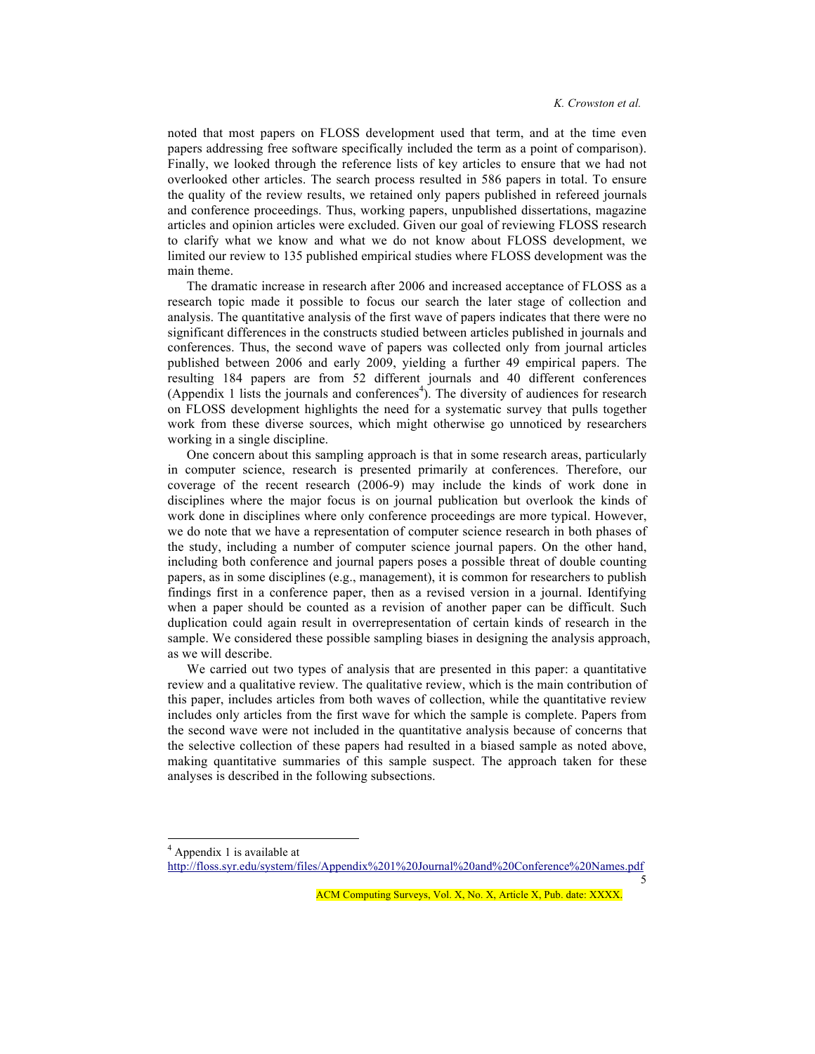noted that most papers on FLOSS development used that term, and at the time even papers addressing free software specifically included the term as a point of comparison). Finally, we looked through the reference lists of key articles to ensure that we had not overlooked other articles. The search process resulted in 586 papers in total. To ensure the quality of the review results, we retained only papers published in refereed journals and conference proceedings. Thus, working papers, unpublished dissertations, magazine articles and opinion articles were excluded. Given our goal of reviewing FLOSS research to clarify what we know and what we do not know about FLOSS development, we limited our review to 135 published empirical studies where FLOSS development was the main theme.

The dramatic increase in research after 2006 and increased acceptance of FLOSS as a research topic made it possible to focus our search the later stage of collection and analysis. The quantitative analysis of the first wave of papers indicates that there were no significant differences in the constructs studied between articles published in journals and conferences. Thus, the second wave of papers was collected only from journal articles published between 2006 and early 2009, yielding a further 49 empirical papers. The resulting 184 papers are from 52 different journals and 40 different conferences (Appendix 1 lists the journals and conferences<sup>4</sup>). The diversity of audiences for research on FLOSS development highlights the need for a systematic survey that pulls together work from these diverse sources, which might otherwise go unnoticed by researchers working in a single discipline.

One concern about this sampling approach is that in some research areas, particularly in computer science, research is presented primarily at conferences. Therefore, our coverage of the recent research (2006-9) may include the kinds of work done in disciplines where the major focus is on journal publication but overlook the kinds of work done in disciplines where only conference proceedings are more typical. However, we do note that we have a representation of computer science research in both phases of the study, including a number of computer science journal papers. On the other hand, including both conference and journal papers poses a possible threat of double counting papers, as in some disciplines (e.g., management), it is common for researchers to publish findings first in a conference paper, then as a revised version in a journal. Identifying when a paper should be counted as a revision of another paper can be difficult. Such duplication could again result in overrepresentation of certain kinds of research in the sample. We considered these possible sampling biases in designing the analysis approach, as we will describe.

We carried out two types of analysis that are presented in this paper: a quantitative review and a qualitative review. The qualitative review, which is the main contribution of this paper, includes articles from both waves of collection, while the quantitative review includes only articles from the first wave for which the sample is complete. Papers from the second wave were not included in the quantitative analysis because of concerns that the selective collection of these papers had resulted in a biased sample as noted above, making quantitative summaries of this sample suspect. The approach taken for these analyses is described in the following subsections.

 $\frac{1}{4}$ <sup>4</sup> Appendix 1 is available at

http://floss.syr.edu/system/files/Appendix%201%20Journal%20and%20Conference%20Names.pdf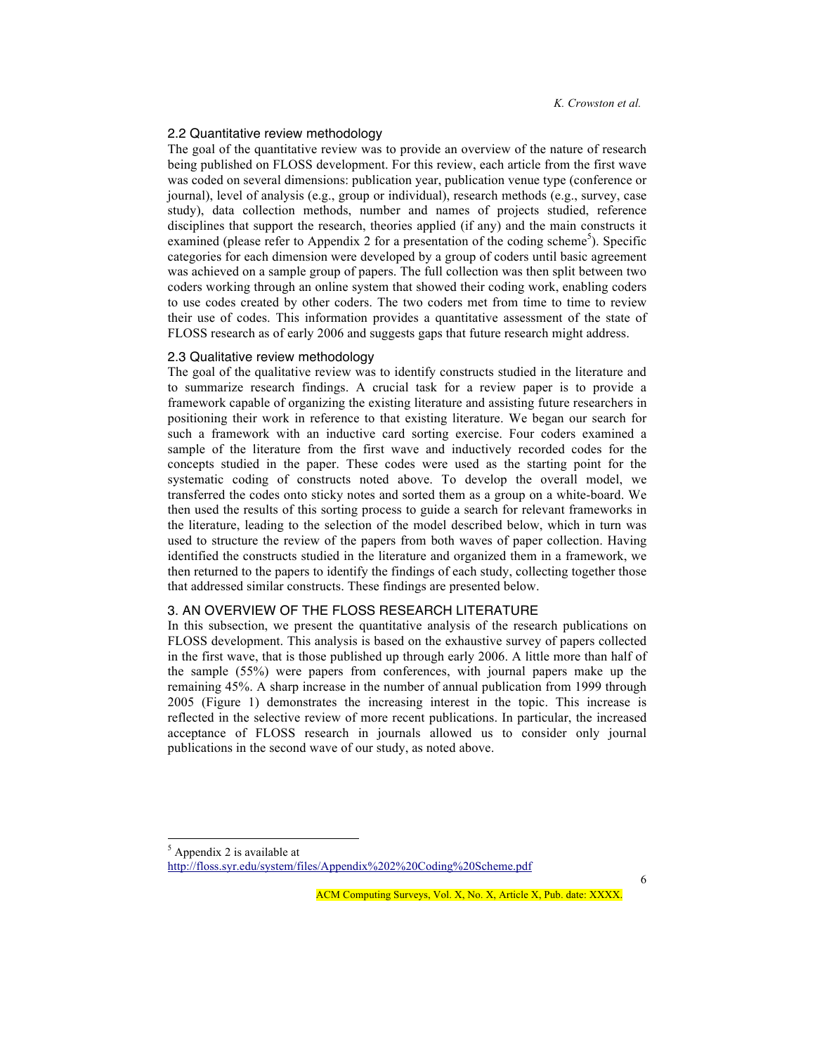#### 2.2 Quantitative review methodology

The goal of the quantitative review was to provide an overview of the nature of research being published on FLOSS development. For this review, each article from the first wave was coded on several dimensions: publication year, publication venue type (conference or journal), level of analysis (e.g., group or individual), research methods (e.g., survey, case study), data collection methods, number and names of projects studied, reference disciplines that support the research, theories applied (if any) and the main constructs it examined (please refer to Appendix 2 for a presentation of the coding scheme<sup>5</sup>). Specific categories for each dimension were developed by a group of coders until basic agreement was achieved on a sample group of papers. The full collection was then split between two coders working through an online system that showed their coding work, enabling coders to use codes created by other coders. The two coders met from time to time to review their use of codes. This information provides a quantitative assessment of the state of FLOSS research as of early 2006 and suggests gaps that future research might address.

#### 2.3 Qualitative review methodology

The goal of the qualitative review was to identify constructs studied in the literature and to summarize research findings. A crucial task for a review paper is to provide a framework capable of organizing the existing literature and assisting future researchers in positioning their work in reference to that existing literature. We began our search for such a framework with an inductive card sorting exercise. Four coders examined a sample of the literature from the first wave and inductively recorded codes for the concepts studied in the paper. These codes were used as the starting point for the systematic coding of constructs noted above. To develop the overall model, we transferred the codes onto sticky notes and sorted them as a group on a white-board. We then used the results of this sorting process to guide a search for relevant frameworks in the literature, leading to the selection of the model described below, which in turn was used to structure the review of the papers from both waves of paper collection. Having identified the constructs studied in the literature and organized them in a framework, we then returned to the papers to identify the findings of each study, collecting together those that addressed similar constructs. These findings are presented below.

## 3. AN OVERVIEW OF THE FLOSS RESEARCH LITERATURE

In this subsection, we present the quantitative analysis of the research publications on FLOSS development. This analysis is based on the exhaustive survey of papers collected in the first wave, that is those published up through early 2006. A little more than half of the sample (55%) were papers from conferences, with journal papers make up the remaining 45%. A sharp increase in the number of annual publication from 1999 through 2005 (Figure 1) demonstrates the increasing interest in the topic. This increase is reflected in the selective review of more recent publications. In particular, the increased acceptance of FLOSS research in journals allowed us to consider only journal publications in the second wave of our study, as noted above.

 <sup>5</sup>  $<sup>5</sup>$  Appendix 2 is available at</sup> http://floss.syr.edu/system/files/Appendix%202%20Coding%20Scheme.pdf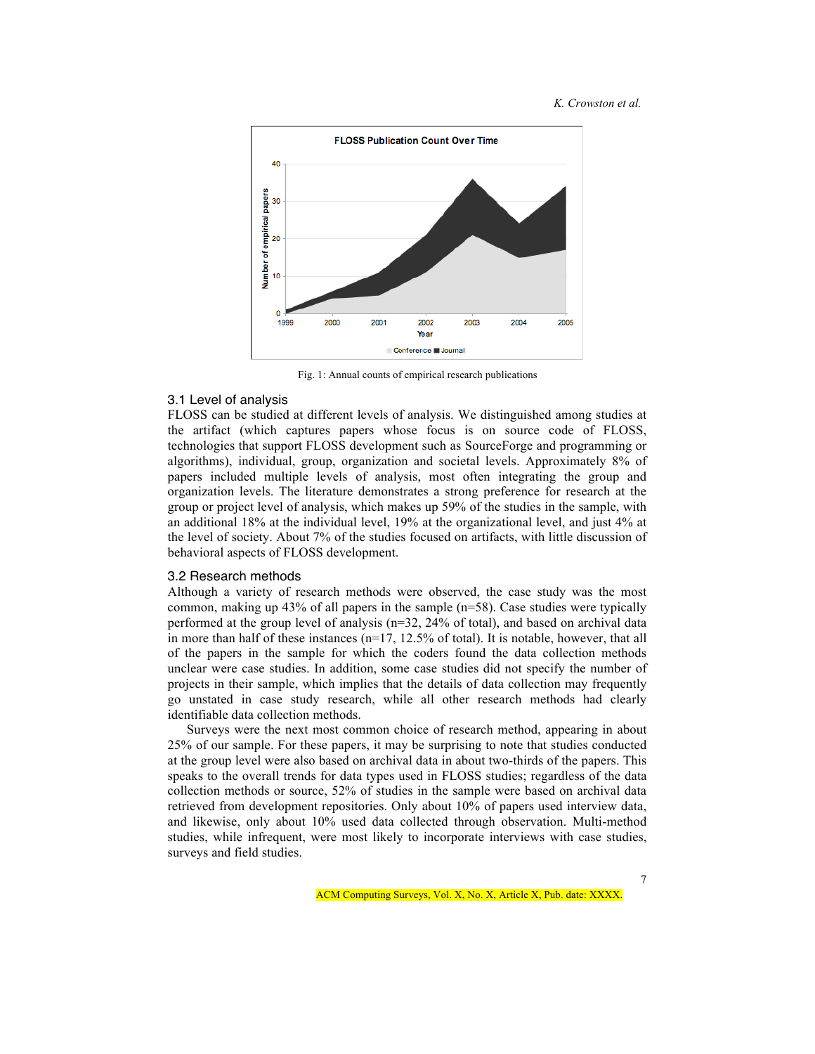

Fig. 1: Annual counts of empirical research publications

### 3.1 Level of analysis

FLOSS can be studied at different levels of analysis. We distinguished among studies at the artifact (which captures papers whose focus is on source code of FLOSS, technologies that support FLOSS development such as SourceForge and programming or algorithms), individual, group, organization and societal levels. Approximately 8% of papers included multiple levels of analysis, most often integrating the group and organization levels. The literature demonstrates a strong preference for research at the group or project level of analysis, which makes up 59% of the studies in the sample, with an additional 18% at the individual level, 19% at the organizational level, and just 4% at the level of society. About 7% of the studies focused on artifacts, with little discussion of behavioral aspects of FLOSS development.

#### 3.2 Research methods

Although a variety of research methods were observed, the case study was the most common, making up 43% of all papers in the sample  $(n=58)$ . Case studies were typically performed at the group level of analysis (n=32, 24% of total), and based on archival data in more than half of these instances (n=17, 12.5% of total). It is notable, however, that all of the papers in the sample for which the coders found the data collection methods unclear were case studies. In addition, some case studies did not specify the number of projects in their sample, which implies that the details of data collection may frequently go unstated in case study research, while all other research methods had clearly identifiable data collection methods.

Surveys were the next most common choice of research method, appearing in about 25% of our sample. For these papers, it may be surprising to note that studies conducted at the group level were also based on archival data in about two-thirds of the papers. This speaks to the overall trends for data types used in FLOSS studies; regardless of the data collection methods or source, 52% of studies in the sample were based on archival data retrieved from development repositories. Only about 10% of papers used interview data, and likewise, only about 10% used data collected through observation. Multi-method studies, while infrequent, were most likely to incorporate interviews with case studies, surveys and field studies.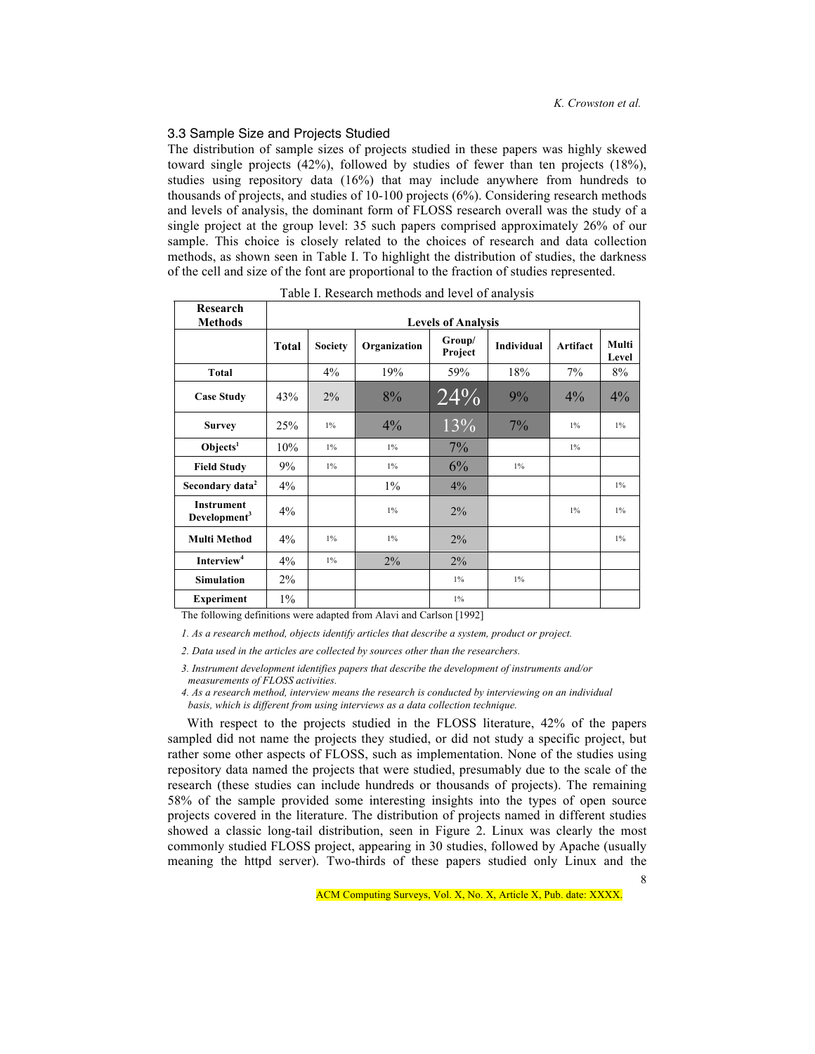## 3.3 Sample Size and Projects Studied

The distribution of sample sizes of projects studied in these papers was highly skewed toward single projects (42%), followed by studies of fewer than ten projects (18%), studies using repository data (16%) that may include anywhere from hundreds to thousands of projects, and studies of 10-100 projects (6%). Considering research methods and levels of analysis, the dominant form of FLOSS research overall was the study of a single project at the group level: 35 such papers comprised approximately 26% of our sample. This choice is closely related to the choices of research and data collection methods, as shown seen in Table I. To highlight the distribution of studies, the darkness of the cell and size of the font are proportional to the fraction of studies represented.

| Research                                      |                           |                |              |                   |            |          |                |
|-----------------------------------------------|---------------------------|----------------|--------------|-------------------|------------|----------|----------------|
| <b>Methods</b>                                | <b>Levels of Analysis</b> |                |              |                   |            |          |                |
|                                               | Total                     | <b>Society</b> | Organization | Group/<br>Project | Individual | Artifact | Multi<br>Level |
| <b>Total</b>                                  |                           | 4%             | 19%          | 59%               | 18%        | 7%       | 8%             |
| <b>Case Study</b>                             | 43%                       | $2\%$          | 8%           | $\sqrt{24\%}$     | 9%         | $4\%$    | 4%             |
| <b>Survey</b>                                 | 25%                       | $1\%$          | $4\%$        | 13%               | 7%         | $1\%$    | $1\%$          |
| O <sub>b</sub> jects <sup>1</sup>             | 10%                       | $1\%$          | $1\%$        | $7\%$             |            | $1\%$    |                |
| <b>Field Study</b>                            | 9%                        | $1\%$          | $1\%$        | 6%                | $1\%$      |          |                |
| Secondary data <sup>2</sup>                   | 4%                        |                | $1\%$        | $4\%$             |            |          | $1\%$          |
| <b>Instrument</b><br>Development <sup>3</sup> | $4\%$                     |                | $1\%$        | $2\%$             |            | $1\%$    | $1\%$          |
| <b>Multi Method</b>                           | $4\%$                     | $1\%$          | $1\%$        | $2\%$             |            |          | $1\%$          |
| Interview <sup>4</sup>                        | $4\%$                     | $1\%$          | $2\%$        | $2\%$             |            |          |                |
| <b>Simulation</b>                             | 2%                        |                |              | $1\%$             | $1\%$      |          |                |
| <b>Experiment</b>                             | $1\%$                     |                |              | $1\%$             |            |          |                |

Table I. Research methods and level of analysis

The following definitions were adapted from Alavi and Carlson [1992]

*1. As a research method, objects identify articles that describe a system, product or project.* 

*2. Data used in the articles are collected by sources other than the researchers.*

*3. Instrument development identifies papers that describe the development of instruments and/or measurements of FLOSS activities.*

*4. As a research method, interview means the research is conducted by interviewing on an individual basis, which is different from using interviews as a data collection technique.*

8 With respect to the projects studied in the FLOSS literature, 42% of the papers sampled did not name the projects they studied, or did not study a specific project, but rather some other aspects of FLOSS, such as implementation. None of the studies using repository data named the projects that were studied, presumably due to the scale of the research (these studies can include hundreds or thousands of projects). The remaining 58% of the sample provided some interesting insights into the types of open source projects covered in the literature. The distribution of projects named in different studies showed a classic long-tail distribution, seen in Figure 2. Linux was clearly the most commonly studied FLOSS project, appearing in 30 studies, followed by Apache (usually meaning the httpd server). Two-thirds of these papers studied only Linux and the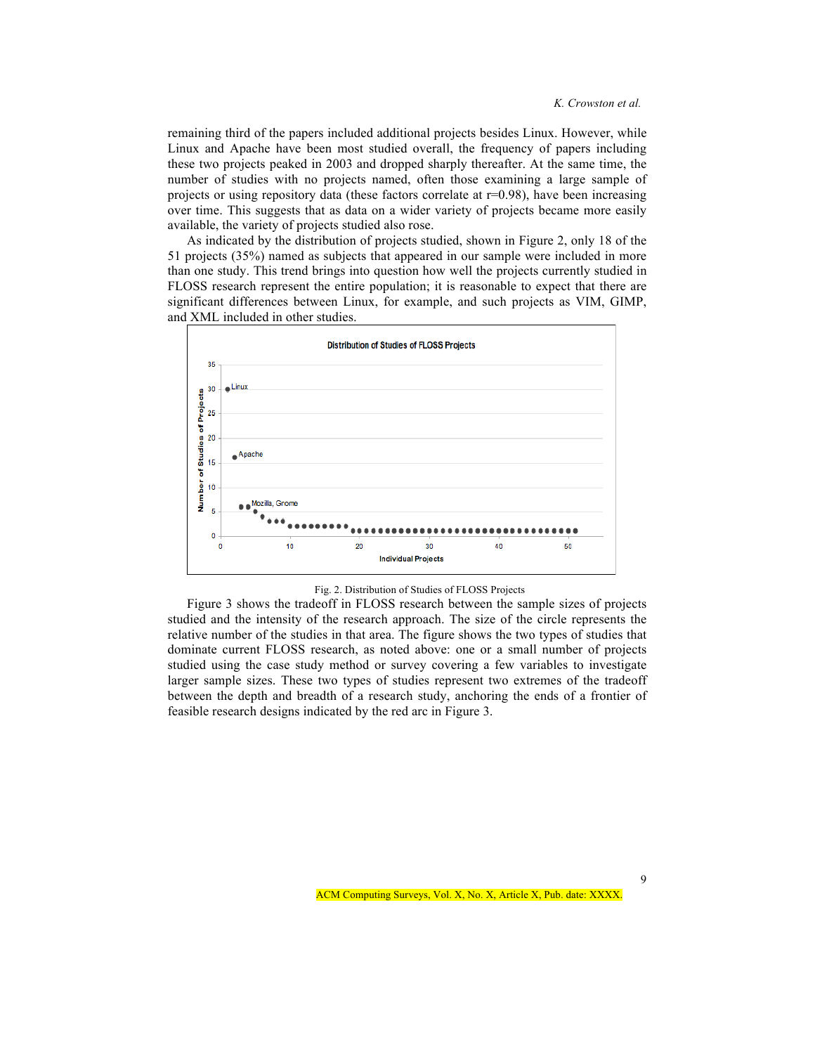remaining third of the papers included additional projects besides Linux. However, while Linux and Apache have been most studied overall, the frequency of papers including these two projects peaked in 2003 and dropped sharply thereafter. At the same time, the number of studies with no projects named, often those examining a large sample of projects or using repository data (these factors correlate at  $r=0.98$ ), have been increasing over time. This suggests that as data on a wider variety of projects became more easily available, the variety of projects studied also rose.

As indicated by the distribution of projects studied, shown in Figure 2, only 18 of the 51 projects (35%) named as subjects that appeared in our sample were included in more than one study. This trend brings into question how well the projects currently studied in FLOSS research represent the entire population; it is reasonable to expect that there are significant differences between Linux, for example, and such projects as VIM, GIMP, and XML included in other studies.





Figure 3 shows the tradeoff in FLOSS research between the sample sizes of projects studied and the intensity of the research approach. The size of the circle represents the relative number of the studies in that area. The figure shows the two types of studies that dominate current FLOSS research, as noted above: one or a small number of projects studied using the case study method or survey covering a few variables to investigate larger sample sizes. These two types of studies represent two extremes of the tradeoff between the depth and breadth of a research study, anchoring the ends of a frontier of feasible research designs indicated by the red arc in Figure 3.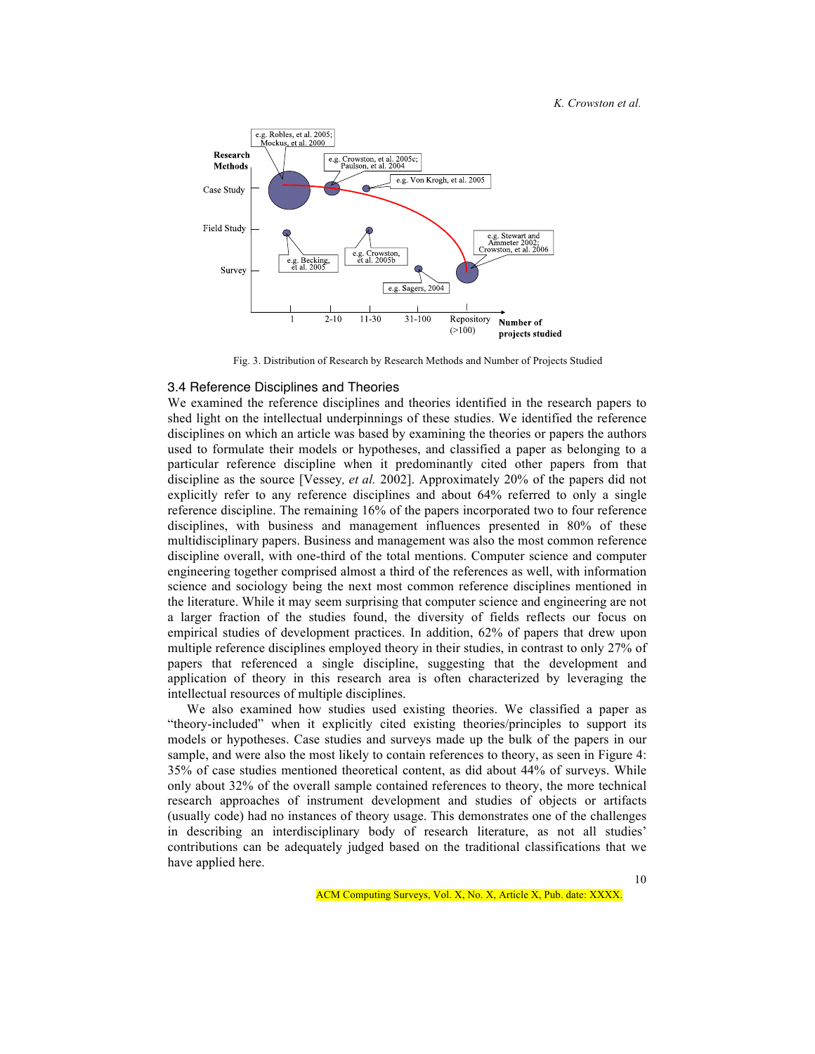#### *K. Crowston et al.*



Fig. 3. Distribution of Research by Research Methods and Number of Projects Studied

## 3.4 Reference Disciplines and Theories

We examined the reference disciplines and theories identified in the research papers to shed light on the intellectual underpinnings of these studies. We identified the reference disciplines on which an article was based by examining the theories or papers the authors used to formulate their models or hypotheses, and classified a paper as belonging to a particular reference discipline when it predominantly cited other papers from that discipline as the source [Vessey*, et al.* 2002]. Approximately 20% of the papers did not explicitly refer to any reference disciplines and about 64% referred to only a single reference discipline. The remaining 16% of the papers incorporated two to four reference disciplines, with business and management influences presented in 80% of these multidisciplinary papers. Business and management was also the most common reference discipline overall, with one-third of the total mentions. Computer science and computer engineering together comprised almost a third of the references as well, with information science and sociology being the next most common reference disciplines mentioned in the literature. While it may seem surprising that computer science and engineering are not a larger fraction of the studies found, the diversity of fields reflects our focus on empirical studies of development practices. In addition, 62% of papers that drew upon multiple reference disciplines employed theory in their studies, in contrast to only 27% of papers that referenced a single discipline, suggesting that the development and application of theory in this research area is often characterized by leveraging the intellectual resources of multiple disciplines.

We also examined how studies used existing theories. We classified a paper as "theory-included" when it explicitly cited existing theories/principles to support its models or hypotheses. Case studies and surveys made up the bulk of the papers in our sample, and were also the most likely to contain references to theory, as seen in Figure 4: 35% of case studies mentioned theoretical content, as did about 44% of surveys. While only about 32% of the overall sample contained references to theory, the more technical research approaches of instrument development and studies of objects or artifacts (usually code) had no instances of theory usage. This demonstrates one of the challenges in describing an interdisciplinary body of research literature, as not all studies' contributions can be adequately judged based on the traditional classifications that we have applied here.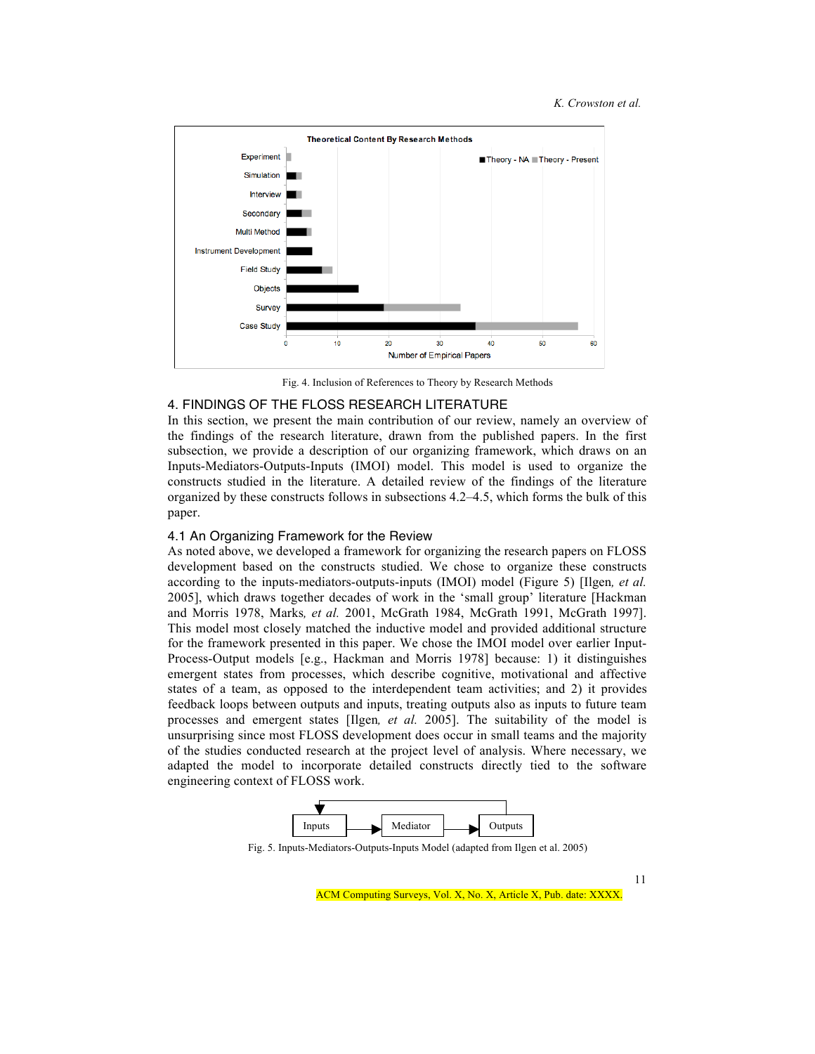

Fig. 4. Inclusion of References to Theory by Research Methods

## 4. FINDINGS OF THE FLOSS RESEARCH LITERATURE

In this section, we present the main contribution of our review, namely an overview of the findings of the research literature, drawn from the published papers. In the first subsection, we provide a description of our organizing framework, which draws on an Inputs-Mediators-Outputs-Inputs (IMOI) model. This model is used to organize the constructs studied in the literature. A detailed review of the findings of the literature organized by these constructs follows in subsections 4.2–4.5, which forms the bulk of this paper.

#### 4.1 An Organizing Framework for the Review

As noted above, we developed a framework for organizing the research papers on FLOSS development based on the constructs studied. We chose to organize these constructs according to the inputs-mediators-outputs-inputs (IMOI) model (Figure 5) [Ilgen*, et al.* 2005], which draws together decades of work in the 'small group' literature [Hackman and Morris 1978, Marks*, et al.* 2001, McGrath 1984, McGrath 1991, McGrath 1997]. This model most closely matched the inductive model and provided additional structure for the framework presented in this paper. We chose the IMOI model over earlier Input-Process-Output models [e.g., Hackman and Morris 1978] because: 1) it distinguishes emergent states from processes, which describe cognitive, motivational and affective states of a team, as opposed to the interdependent team activities; and 2) it provides feedback loops between outputs and inputs, treating outputs also as inputs to future team processes and emergent states [Ilgen*, et al.* 2005]. The suitability of the model is unsurprising since most FLOSS development does occur in small teams and the majority of the studies conducted research at the project level of analysis. Where necessary, we adapted the model to incorporate detailed constructs directly tied to the software engineering context of FLOSS work.



Fig. 5. Inputs-Mediators-Outputs-Inputs Model (adapted from Ilgen et al. 2005)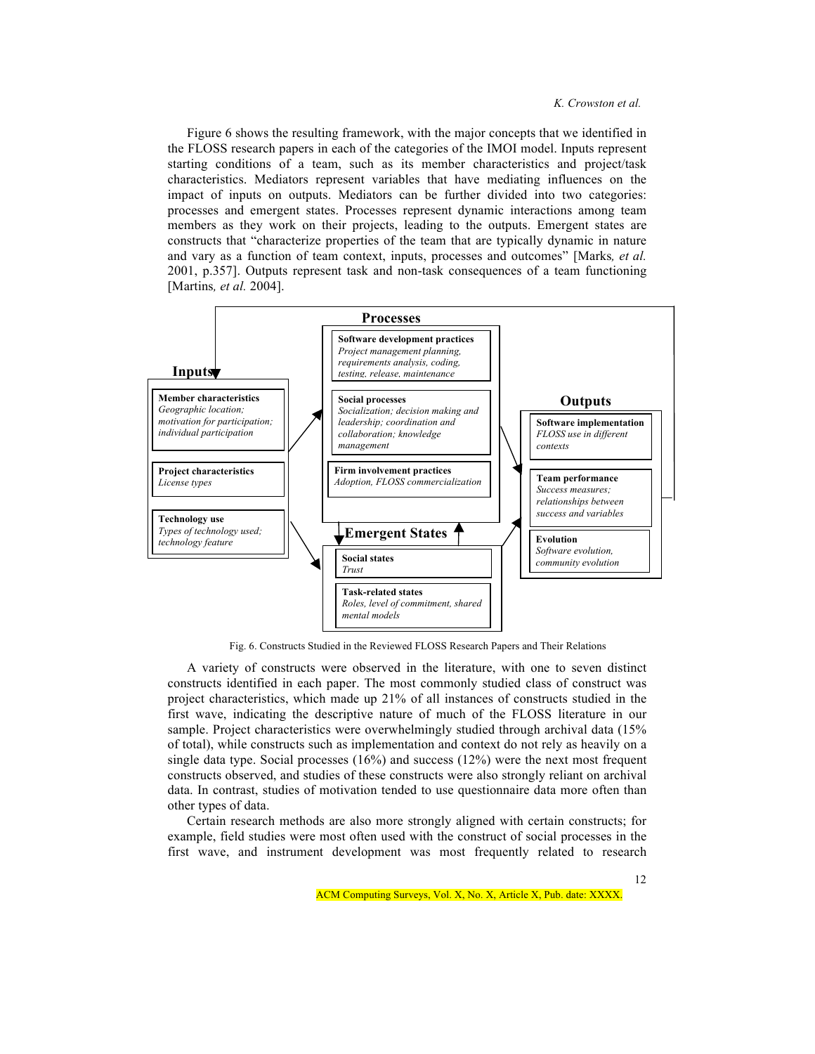Figure 6 shows the resulting framework, with the major concepts that we identified in the FLOSS research papers in each of the categories of the IMOI model. Inputs represent starting conditions of a team, such as its member characteristics and project/task characteristics. Mediators represent variables that have mediating influences on the impact of inputs on outputs. Mediators can be further divided into two categories: processes and emergent states. Processes represent dynamic interactions among team members as they work on their projects, leading to the outputs. Emergent states are constructs that "characterize properties of the team that are typically dynamic in nature and vary as a function of team context, inputs, processes and outcomes" [Marks*, et al.* 2001, p.357]. Outputs represent task and non-task consequences of a team functioning [Martins*, et al.* 2004].



Fig. 6. Constructs Studied in the Reviewed FLOSS Research Papers and Their Relations

A variety of constructs were observed in the literature, with one to seven distinct constructs identified in each paper. The most commonly studied class of construct was project characteristics, which made up 21% of all instances of constructs studied in the first wave, indicating the descriptive nature of much of the FLOSS literature in our sample. Project characteristics were overwhelmingly studied through archival data (15% of total), while constructs such as implementation and context do not rely as heavily on a single data type. Social processes  $(16%)$  and success  $(12%)$  were the next most frequent constructs observed, and studies of these constructs were also strongly reliant on archival data. In contrast, studies of motivation tended to use questionnaire data more often than other types of data.

Certain research methods are also more strongly aligned with certain constructs; for example, field studies were most often used with the construct of social processes in the first wave, and instrument development was most frequently related to research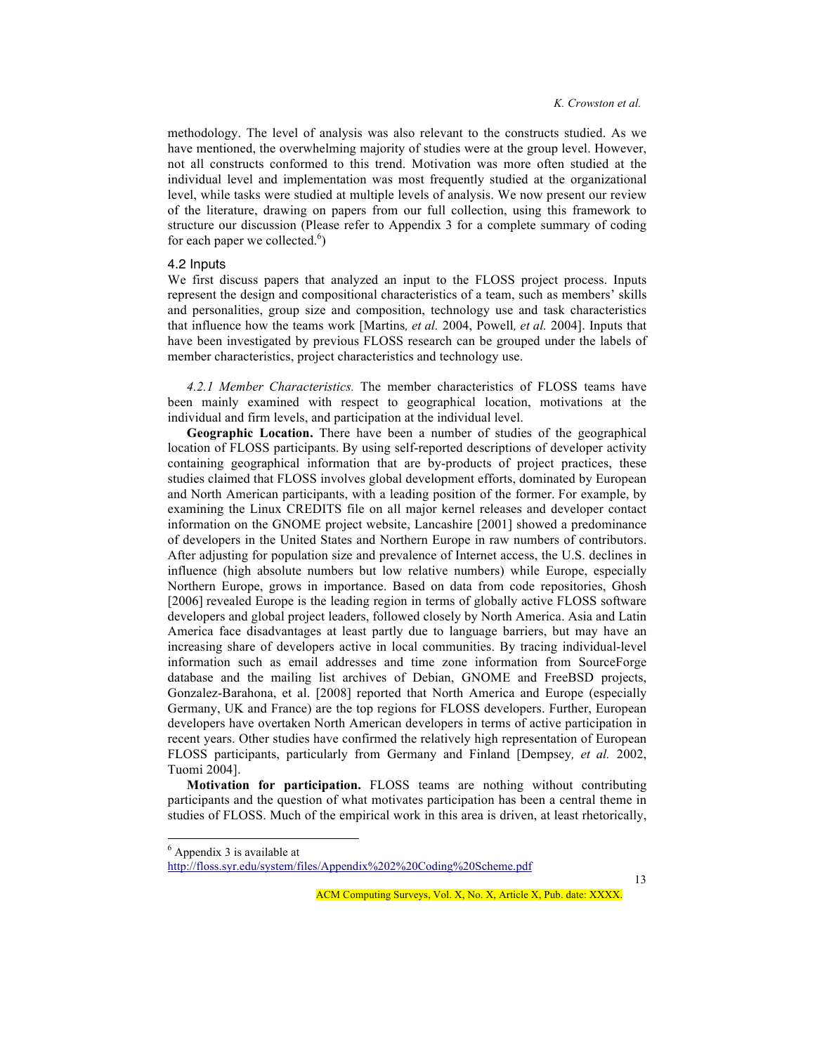methodology. The level of analysis was also relevant to the constructs studied. As we have mentioned, the overwhelming majority of studies were at the group level. However, not all constructs conformed to this trend. Motivation was more often studied at the individual level and implementation was most frequently studied at the organizational level, while tasks were studied at multiple levels of analysis. We now present our review of the literature, drawing on papers from our full collection, using this framework to structure our discussion (Please refer to Appendix 3 for a complete summary of coding for each paper we collected. $<sup>6</sup>$ )</sup>

## 4.2 Inputs

We first discuss papers that analyzed an input to the FLOSS project process. Inputs represent the design and compositional characteristics of a team, such as members' skills and personalities, group size and composition, technology use and task characteristics that influence how the teams work [Martins*, et al.* 2004, Powell*, et al.* 2004]. Inputs that have been investigated by previous FLOSS research can be grouped under the labels of member characteristics, project characteristics and technology use.

*4.2.1 Member Characteristics.* The member characteristics of FLOSS teams have been mainly examined with respect to geographical location, motivations at the individual and firm levels, and participation at the individual level.

**Geographic Location.** There have been a number of studies of the geographical location of FLOSS participants. By using self-reported descriptions of developer activity containing geographical information that are by-products of project practices, these studies claimed that FLOSS involves global development efforts, dominated by European and North American participants, with a leading position of the former. For example, by examining the Linux CREDITS file on all major kernel releases and developer contact information on the GNOME project website, Lancashire [2001] showed a predominance of developers in the United States and Northern Europe in raw numbers of contributors. After adjusting for population size and prevalence of Internet access, the U.S. declines in influence (high absolute numbers but low relative numbers) while Europe, especially Northern Europe, grows in importance. Based on data from code repositories, Ghosh [2006] revealed Europe is the leading region in terms of globally active FLOSS software developers and global project leaders, followed closely by North America. Asia and Latin America face disadvantages at least partly due to language barriers, but may have an increasing share of developers active in local communities. By tracing individual-level information such as email addresses and time zone information from SourceForge database and the mailing list archives of Debian, GNOME and FreeBSD projects, Gonzalez-Barahona, et al. [2008] reported that North America and Europe (especially Germany, UK and France) are the top regions for FLOSS developers. Further, European developers have overtaken North American developers in terms of active participation in recent years. Other studies have confirmed the relatively high representation of European FLOSS participants, particularly from Germany and Finland [Dempsey*, et al.* 2002, Tuomi 2004].

**Motivation for participation.** FLOSS teams are nothing without contributing participants and the question of what motivates participation has been a central theme in studies of FLOSS. Much of the empirical work in this area is driven, at least rhetorically,

 <sup>6</sup>  $<sup>6</sup>$  Appendix 3 is available at</sup>

http://floss.syr.edu/system/files/Appendix%202%20Coding%20Scheme.pdf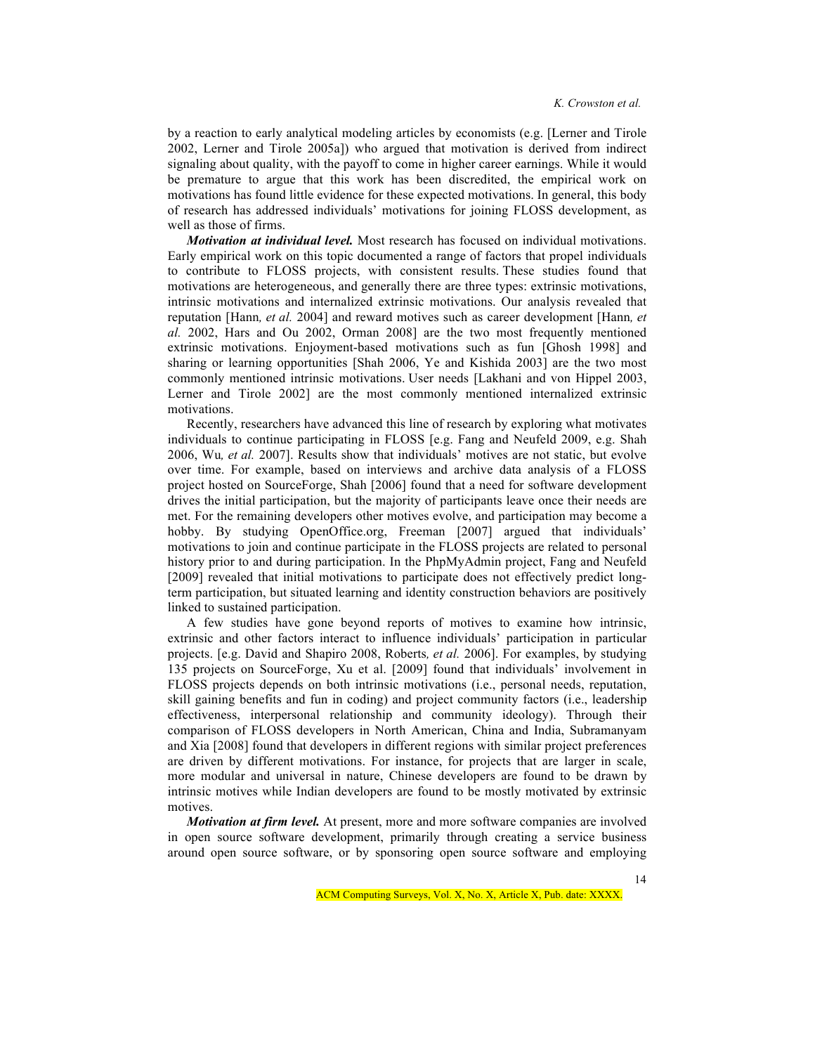by a reaction to early analytical modeling articles by economists (e.g. [Lerner and Tirole 2002, Lerner and Tirole 2005a]) who argued that motivation is derived from indirect signaling about quality, with the payoff to come in higher career earnings. While it would be premature to argue that this work has been discredited, the empirical work on motivations has found little evidence for these expected motivations. In general, this body of research has addressed individuals' motivations for joining FLOSS development, as well as those of firms.

*Motivation at individual level.* Most research has focused on individual motivations. Early empirical work on this topic documented a range of factors that propel individuals to contribute to FLOSS projects, with consistent results. These studies found that motivations are heterogeneous, and generally there are three types: extrinsic motivations, intrinsic motivations and internalized extrinsic motivations. Our analysis revealed that reputation [Hann*, et al.* 2004] and reward motives such as career development [Hann*, et al.* 2002, Hars and Ou 2002, Orman 2008] are the two most frequently mentioned extrinsic motivations. Enjoyment-based motivations such as fun [Ghosh 1998] and sharing or learning opportunities [Shah 2006, Ye and Kishida 2003] are the two most commonly mentioned intrinsic motivations. User needs [Lakhani and von Hippel 2003, Lerner and Tirole 2002] are the most commonly mentioned internalized extrinsic motivations.

Recently, researchers have advanced this line of research by exploring what motivates individuals to continue participating in FLOSS [e.g. Fang and Neufeld 2009, e.g. Shah 2006, Wu*, et al.* 2007]. Results show that individuals' motives are not static, but evolve over time. For example, based on interviews and archive data analysis of a FLOSS project hosted on SourceForge, Shah [2006] found that a need for software development drives the initial participation, but the majority of participants leave once their needs are met. For the remaining developers other motives evolve, and participation may become a hobby. By studying OpenOffice.org, Freeman [2007] argued that individuals' motivations to join and continue participate in the FLOSS projects are related to personal history prior to and during participation. In the PhpMyAdmin project, Fang and Neufeld [2009] revealed that initial motivations to participate does not effectively predict longterm participation, but situated learning and identity construction behaviors are positively linked to sustained participation.

A few studies have gone beyond reports of motives to examine how intrinsic, extrinsic and other factors interact to influence individuals' participation in particular projects. [e.g. David and Shapiro 2008, Roberts*, et al.* 2006]. For examples, by studying 135 projects on SourceForge, Xu et al. [2009] found that individuals' involvement in FLOSS projects depends on both intrinsic motivations (i.e., personal needs, reputation, skill gaining benefits and fun in coding) and project community factors (i.e., leadership effectiveness, interpersonal relationship and community ideology). Through their comparison of FLOSS developers in North American, China and India, Subramanyam and Xia [2008] found that developers in different regions with similar project preferences are driven by different motivations. For instance, for projects that are larger in scale, more modular and universal in nature, Chinese developers are found to be drawn by intrinsic motives while Indian developers are found to be mostly motivated by extrinsic motives.

*Motivation at firm level.* At present, more and more software companies are involved in open source software development, primarily through creating a service business around open source software, or by sponsoring open source software and employing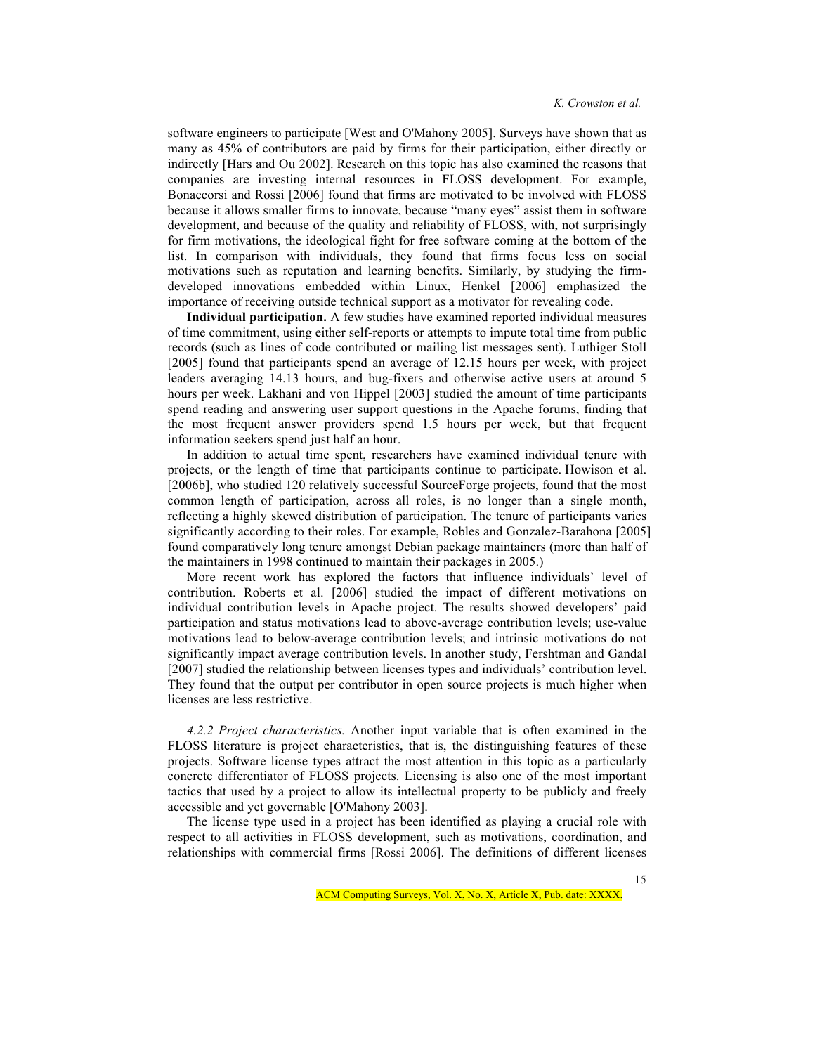software engineers to participate [West and O'Mahony 2005]. Surveys have shown that as many as 45% of contributors are paid by firms for their participation, either directly or indirectly [Hars and Ou 2002]. Research on this topic has also examined the reasons that companies are investing internal resources in FLOSS development. For example, Bonaccorsi and Rossi [2006] found that firms are motivated to be involved with FLOSS because it allows smaller firms to innovate, because "many eyes" assist them in software development, and because of the quality and reliability of FLOSS, with, not surprisingly for firm motivations, the ideological fight for free software coming at the bottom of the list. In comparison with individuals, they found that firms focus less on social motivations such as reputation and learning benefits. Similarly, by studying the firmdeveloped innovations embedded within Linux, Henkel [2006] emphasized the importance of receiving outside technical support as a motivator for revealing code.

**Individual participation.** A few studies have examined reported individual measures of time commitment, using either self-reports or attempts to impute total time from public records (such as lines of code contributed or mailing list messages sent). Luthiger Stoll [2005] found that participants spend an average of 12.15 hours per week, with project leaders averaging 14.13 hours, and bug-fixers and otherwise active users at around 5 hours per week. Lakhani and von Hippel [2003] studied the amount of time participants spend reading and answering user support questions in the Apache forums, finding that the most frequent answer providers spend 1.5 hours per week, but that frequent information seekers spend just half an hour.

In addition to actual time spent, researchers have examined individual tenure with projects, or the length of time that participants continue to participate. Howison et al. [2006b], who studied 120 relatively successful SourceForge projects, found that the most common length of participation, across all roles, is no longer than a single month, reflecting a highly skewed distribution of participation. The tenure of participants varies significantly according to their roles. For example, Robles and Gonzalez-Barahona [2005] found comparatively long tenure amongst Debian package maintainers (more than half of the maintainers in 1998 continued to maintain their packages in 2005.)

More recent work has explored the factors that influence individuals' level of contribution. Roberts et al. [2006] studied the impact of different motivations on individual contribution levels in Apache project. The results showed developers' paid participation and status motivations lead to above-average contribution levels; use-value motivations lead to below-average contribution levels; and intrinsic motivations do not significantly impact average contribution levels. In another study, Fershtman and Gandal [2007] studied the relationship between licenses types and individuals' contribution level. They found that the output per contributor in open source projects is much higher when licenses are less restrictive.

*4.2.2 Project characteristics.* Another input variable that is often examined in the FLOSS literature is project characteristics, that is, the distinguishing features of these projects. Software license types attract the most attention in this topic as a particularly concrete differentiator of FLOSS projects. Licensing is also one of the most important tactics that used by a project to allow its intellectual property to be publicly and freely accessible and yet governable [O'Mahony 2003].

The license type used in a project has been identified as playing a crucial role with respect to all activities in FLOSS development, such as motivations, coordination, and relationships with commercial firms [Rossi 2006]. The definitions of different licenses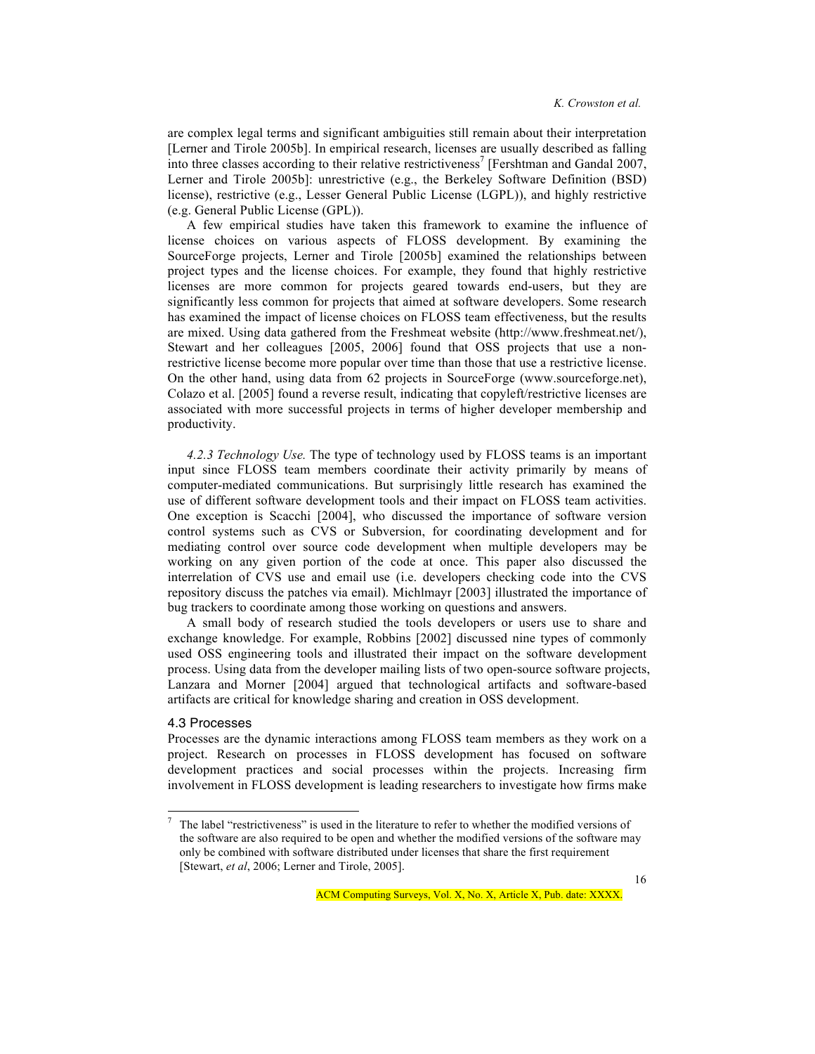are complex legal terms and significant ambiguities still remain about their interpretation [Lerner and Tirole 2005b]. In empirical research, licenses are usually described as falling into three classes according to their relative restrictiveness<sup>7</sup> [Fershtman and Gandal 2007, Lerner and Tirole 2005b]: unrestrictive (e.g., the Berkeley Software Definition (BSD) license), restrictive (e.g., Lesser General Public License (LGPL)), and highly restrictive (e.g. General Public License (GPL)).

A few empirical studies have taken this framework to examine the influence of license choices on various aspects of FLOSS development. By examining the SourceForge projects, Lerner and Tirole [2005b] examined the relationships between project types and the license choices. For example, they found that highly restrictive licenses are more common for projects geared towards end-users, but they are significantly less common for projects that aimed at software developers. Some research has examined the impact of license choices on FLOSS team effectiveness, but the results are mixed. Using data gathered from the Freshmeat website (http://www.freshmeat.net/), Stewart and her colleagues [2005, 2006] found that OSS projects that use a nonrestrictive license become more popular over time than those that use a restrictive license. On the other hand, using data from 62 projects in SourceForge (www.sourceforge.net), Colazo et al. [2005] found a reverse result, indicating that copyleft/restrictive licenses are associated with more successful projects in terms of higher developer membership and productivity.

*4.2.3 Technology Use.* The type of technology used by FLOSS teams is an important input since FLOSS team members coordinate their activity primarily by means of computer-mediated communications. But surprisingly little research has examined the use of different software development tools and their impact on FLOSS team activities. One exception is Scacchi [2004], who discussed the importance of software version control systems such as CVS or Subversion, for coordinating development and for mediating control over source code development when multiple developers may be working on any given portion of the code at once. This paper also discussed the interrelation of CVS use and email use (i.e. developers checking code into the CVS repository discuss the patches via email). Michlmayr [2003] illustrated the importance of bug trackers to coordinate among those working on questions and answers.

A small body of research studied the tools developers or users use to share and exchange knowledge. For example, Robbins [2002] discussed nine types of commonly used OSS engineering tools and illustrated their impact on the software development process. Using data from the developer mailing lists of two open-source software projects, Lanzara and Morner [2004] argued that technological artifacts and software-based artifacts are critical for knowledge sharing and creation in OSS development.

#### 4.3 Processes

Processes are the dynamic interactions among FLOSS team members as they work on a project. Research on processes in FLOSS development has focused on software development practices and social processes within the projects. Increasing firm involvement in FLOSS development is leading researchers to investigate how firms make

 <sup>7</sup> The label "restrictiveness" is used in the literature to refer to whether the modified versions of the software are also required to be open and whether the modified versions of the software may only be combined with software distributed under licenses that share the first requirement [Stewart, *et al*, 2006; Lerner and Tirole, 2005].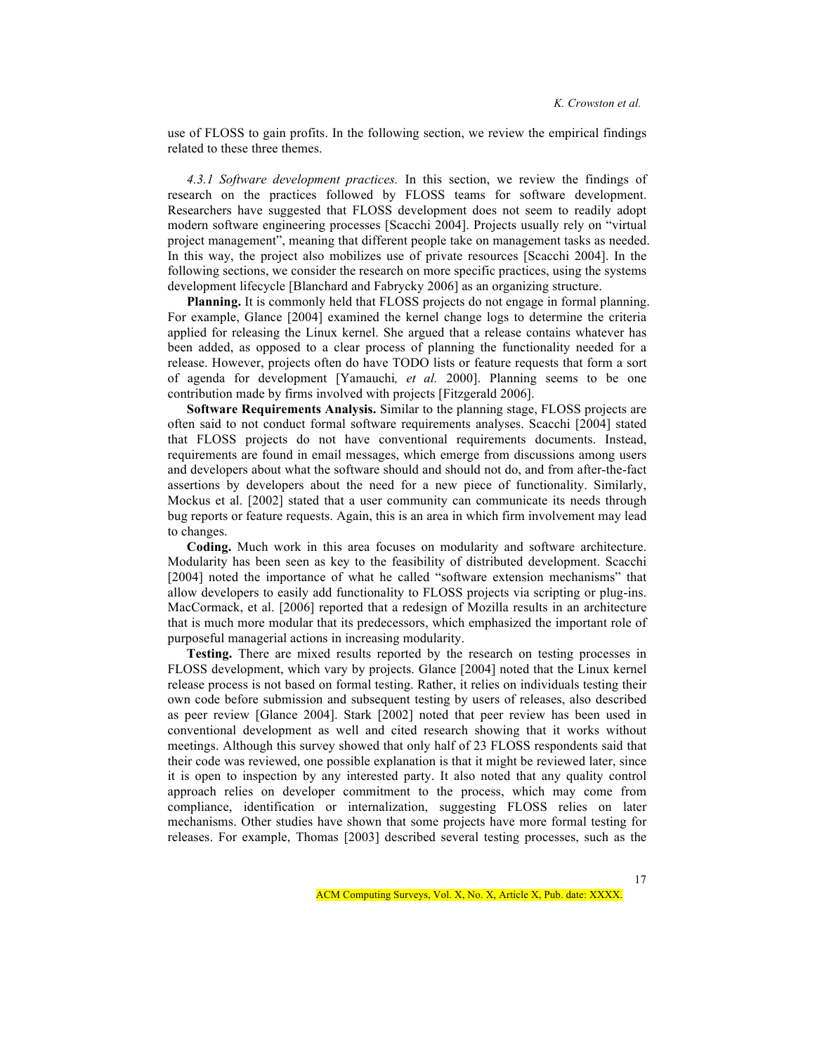use of FLOSS to gain profits. In the following section, we review the empirical findings related to these three themes.

*4.3.1 Software development practices.* In this section, we review the findings of research on the practices followed by FLOSS teams for software development. Researchers have suggested that FLOSS development does not seem to readily adopt modern software engineering processes [Scacchi 2004]. Projects usually rely on "virtual project management", meaning that different people take on management tasks as needed. In this way, the project also mobilizes use of private resources [Scacchi 2004]. In the following sections, we consider the research on more specific practices, using the systems development lifecycle [Blanchard and Fabrycky 2006] as an organizing structure.

**Planning.** It is commonly held that FLOSS projects do not engage in formal planning. For example, Glance [2004] examined the kernel change logs to determine the criteria applied for releasing the Linux kernel. She argued that a release contains whatever has been added, as opposed to a clear process of planning the functionality needed for a release. However, projects often do have TODO lists or feature requests that form a sort of agenda for development [Yamauchi*, et al.* 2000]. Planning seems to be one contribution made by firms involved with projects [Fitzgerald 2006].

**Software Requirements Analysis.** Similar to the planning stage, FLOSS projects are often said to not conduct formal software requirements analyses. Scacchi [2004] stated that FLOSS projects do not have conventional requirements documents. Instead, requirements are found in email messages, which emerge from discussions among users and developers about what the software should and should not do, and from after-the-fact assertions by developers about the need for a new piece of functionality. Similarly, Mockus et al. [2002] stated that a user community can communicate its needs through bug reports or feature requests. Again, this is an area in which firm involvement may lead to changes.

**Coding.** Much work in this area focuses on modularity and software architecture. Modularity has been seen as key to the feasibility of distributed development. Scacchi [2004] noted the importance of what he called "software extension mechanisms" that allow developers to easily add functionality to FLOSS projects via scripting or plug-ins. MacCormack, et al. [2006] reported that a redesign of Mozilla results in an architecture that is much more modular that its predecessors, which emphasized the important role of purposeful managerial actions in increasing modularity.

**Testing.** There are mixed results reported by the research on testing processes in FLOSS development, which vary by projects. Glance [2004] noted that the Linux kernel release process is not based on formal testing. Rather, it relies on individuals testing their own code before submission and subsequent testing by users of releases, also described as peer review [Glance 2004]. Stark [2002] noted that peer review has been used in conventional development as well and cited research showing that it works without meetings. Although this survey showed that only half of 23 FLOSS respondents said that their code was reviewed, one possible explanation is that it might be reviewed later, since it is open to inspection by any interested party. It also noted that any quality control approach relies on developer commitment to the process, which may come from compliance, identification or internalization, suggesting FLOSS relies on later mechanisms. Other studies have shown that some projects have more formal testing for releases. For example, Thomas [2003] described several testing processes, such as the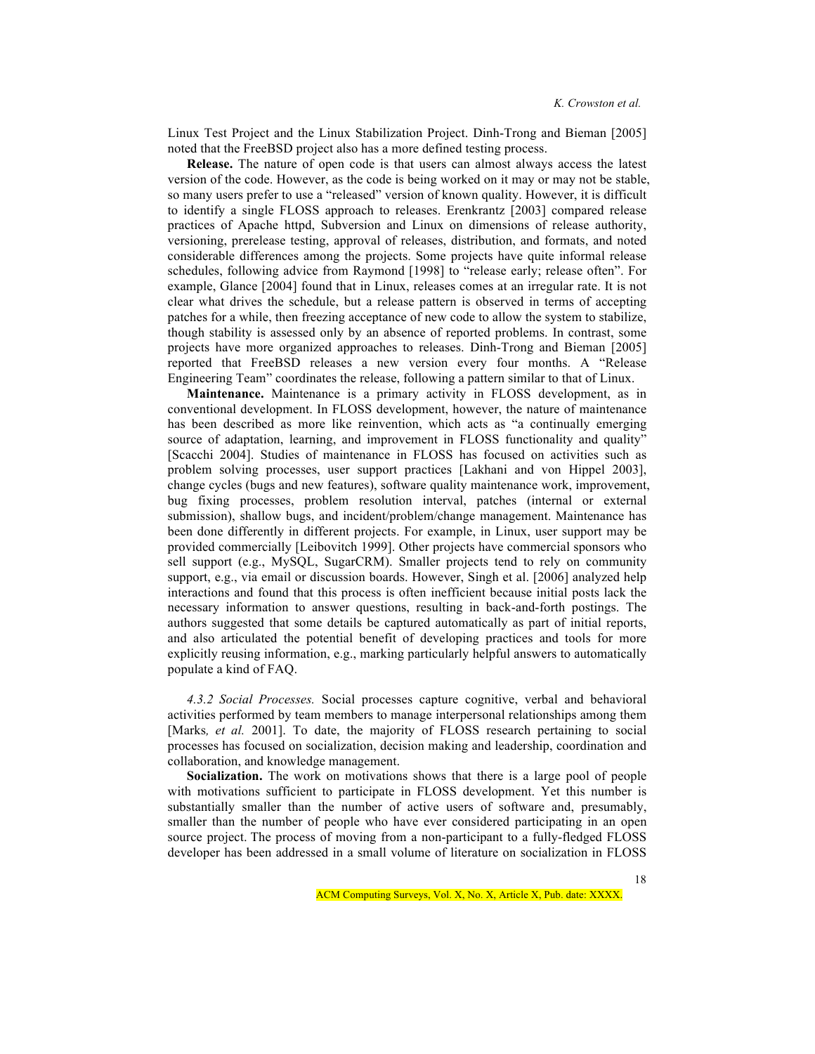Linux Test Project and the Linux Stabilization Project. Dinh-Trong and Bieman [2005] noted that the FreeBSD project also has a more defined testing process.

**Release.** The nature of open code is that users can almost always access the latest version of the code. However, as the code is being worked on it may or may not be stable, so many users prefer to use a "released" version of known quality. However, it is difficult to identify a single FLOSS approach to releases. Erenkrantz [2003] compared release practices of Apache httpd, Subversion and Linux on dimensions of release authority, versioning, prerelease testing, approval of releases, distribution, and formats, and noted considerable differences among the projects. Some projects have quite informal release schedules, following advice from Raymond [1998] to "release early; release often". For example, Glance [2004] found that in Linux, releases comes at an irregular rate. It is not clear what drives the schedule, but a release pattern is observed in terms of accepting patches for a while, then freezing acceptance of new code to allow the system to stabilize, though stability is assessed only by an absence of reported problems. In contrast, some projects have more organized approaches to releases. Dinh-Trong and Bieman [2005] reported that FreeBSD releases a new version every four months. A "Release Engineering Team" coordinates the release, following a pattern similar to that of Linux.

**Maintenance.** Maintenance is a primary activity in FLOSS development, as in conventional development. In FLOSS development, however, the nature of maintenance has been described as more like reinvention, which acts as "a continually emerging source of adaptation, learning, and improvement in FLOSS functionality and quality" [Scacchi 2004]. Studies of maintenance in FLOSS has focused on activities such as problem solving processes, user support practices [Lakhani and von Hippel 2003], change cycles (bugs and new features), software quality maintenance work, improvement, bug fixing processes, problem resolution interval, patches (internal or external submission), shallow bugs, and incident/problem/change management. Maintenance has been done differently in different projects. For example, in Linux, user support may be provided commercially [Leibovitch 1999]. Other projects have commercial sponsors who sell support (e.g., MySQL, SugarCRM). Smaller projects tend to rely on community support, e.g., via email or discussion boards. However, Singh et al. [2006] analyzed help interactions and found that this process is often inefficient because initial posts lack the necessary information to answer questions, resulting in back-and-forth postings. The authors suggested that some details be captured automatically as part of initial reports, and also articulated the potential benefit of developing practices and tools for more explicitly reusing information, e.g., marking particularly helpful answers to automatically populate a kind of FAQ.

*4.3.2 Social Processes.* Social processes capture cognitive, verbal and behavioral activities performed by team members to manage interpersonal relationships among them [Marks, *et al.* 2001]. To date, the majority of FLOSS research pertaining to social processes has focused on socialization, decision making and leadership, coordination and collaboration, and knowledge management.

**Socialization.** The work on motivations shows that there is a large pool of people with motivations sufficient to participate in FLOSS development. Yet this number is substantially smaller than the number of active users of software and, presumably, smaller than the number of people who have ever considered participating in an open source project. The process of moving from a non-participant to a fully-fledged FLOSS developer has been addressed in a small volume of literature on socialization in FLOSS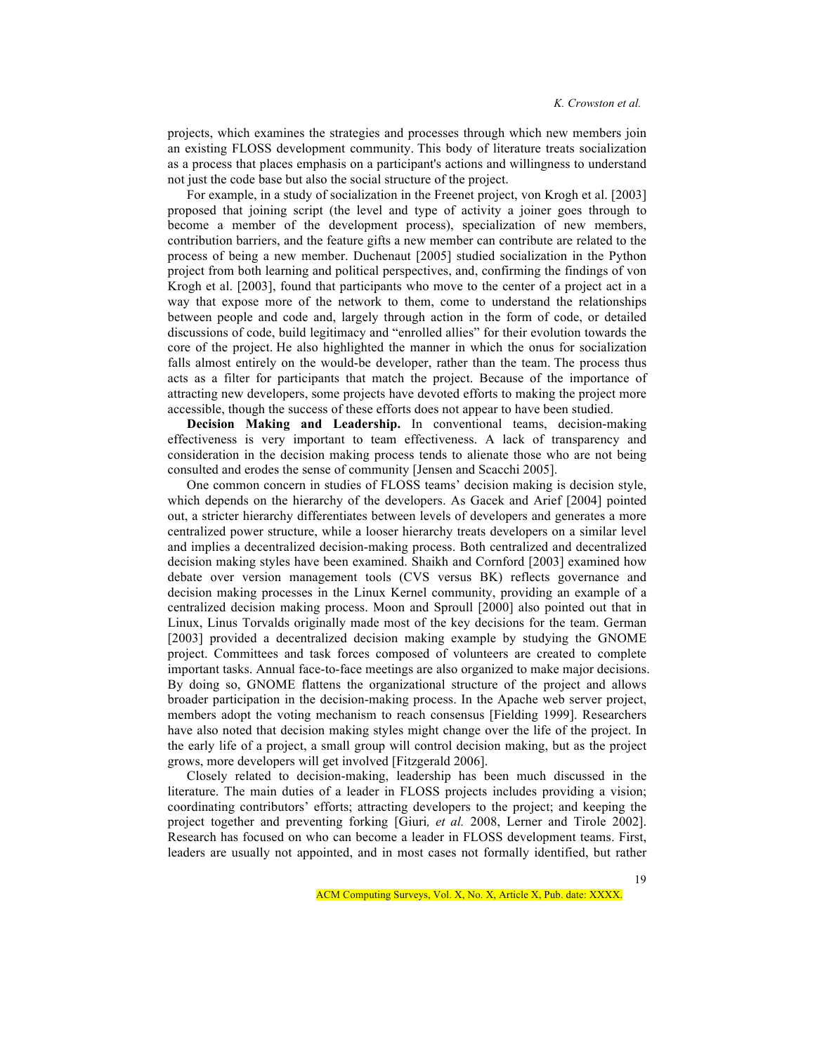projects, which examines the strategies and processes through which new members join an existing FLOSS development community. This body of literature treats socialization as a process that places emphasis on a participant's actions and willingness to understand not just the code base but also the social structure of the project.

For example, in a study of socialization in the Freenet project, von Krogh et al. [2003] proposed that joining script (the level and type of activity a joiner goes through to become a member of the development process), specialization of new members, contribution barriers, and the feature gifts a new member can contribute are related to the process of being a new member. Duchenaut [2005] studied socialization in the Python project from both learning and political perspectives, and, confirming the findings of von Krogh et al. [2003], found that participants who move to the center of a project act in a way that expose more of the network to them, come to understand the relationships between people and code and, largely through action in the form of code, or detailed discussions of code, build legitimacy and "enrolled allies" for their evolution towards the core of the project. He also highlighted the manner in which the onus for socialization falls almost entirely on the would-be developer, rather than the team. The process thus acts as a filter for participants that match the project. Because of the importance of attracting new developers, some projects have devoted efforts to making the project more accessible, though the success of these efforts does not appear to have been studied.

**Decision Making and Leadership.** In conventional teams, decision-making effectiveness is very important to team effectiveness. A lack of transparency and consideration in the decision making process tends to alienate those who are not being consulted and erodes the sense of community [Jensen and Scacchi 2005].

One common concern in studies of FLOSS teams' decision making is decision style, which depends on the hierarchy of the developers. As Gacek and Arief [2004] pointed out, a stricter hierarchy differentiates between levels of developers and generates a more centralized power structure, while a looser hierarchy treats developers on a similar level and implies a decentralized decision-making process. Both centralized and decentralized decision making styles have been examined. Shaikh and Cornford [2003] examined how debate over version management tools (CVS versus BK) reflects governance and decision making processes in the Linux Kernel community, providing an example of a centralized decision making process. Moon and Sproull [2000] also pointed out that in Linux, Linus Torvalds originally made most of the key decisions for the team. German [2003] provided a decentralized decision making example by studying the GNOME project. Committees and task forces composed of volunteers are created to complete important tasks. Annual face-to-face meetings are also organized to make major decisions. By doing so, GNOME flattens the organizational structure of the project and allows broader participation in the decision-making process. In the Apache web server project, members adopt the voting mechanism to reach consensus [Fielding 1999]. Researchers have also noted that decision making styles might change over the life of the project. In the early life of a project, a small group will control decision making, but as the project grows, more developers will get involved [Fitzgerald 2006].

Closely related to decision-making, leadership has been much discussed in the literature. The main duties of a leader in FLOSS projects includes providing a vision; coordinating contributors' efforts; attracting developers to the project; and keeping the project together and preventing forking [Giuri*, et al.* 2008, Lerner and Tirole 2002]. Research has focused on who can become a leader in FLOSS development teams. First, leaders are usually not appointed, and in most cases not formally identified, but rather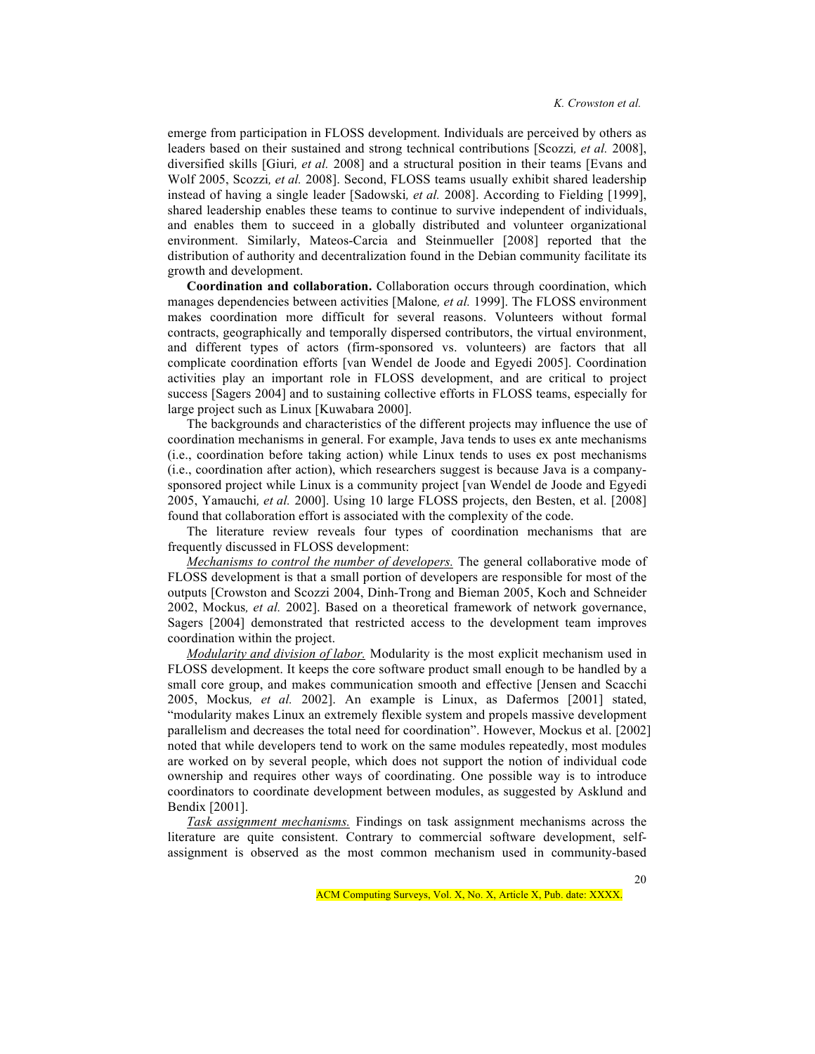emerge from participation in FLOSS development. Individuals are perceived by others as leaders based on their sustained and strong technical contributions [Scozzi*, et al.* 2008], diversified skills [Giuri*, et al.* 2008] and a structural position in their teams [Evans and Wolf 2005, Scozzi*, et al.* 2008]. Second, FLOSS teams usually exhibit shared leadership instead of having a single leader [Sadowski*, et al.* 2008]. According to Fielding [1999], shared leadership enables these teams to continue to survive independent of individuals, and enables them to succeed in a globally distributed and volunteer organizational environment. Similarly, Mateos-Carcia and Steinmueller [2008] reported that the distribution of authority and decentralization found in the Debian community facilitate its growth and development.

**Coordination and collaboration.** Collaboration occurs through coordination, which manages dependencies between activities [Malone*, et al.* 1999]. The FLOSS environment makes coordination more difficult for several reasons. Volunteers without formal contracts, geographically and temporally dispersed contributors, the virtual environment, and different types of actors (firm-sponsored vs. volunteers) are factors that all complicate coordination efforts [van Wendel de Joode and Egyedi 2005]. Coordination activities play an important role in FLOSS development, and are critical to project success [Sagers 2004] and to sustaining collective efforts in FLOSS teams, especially for large project such as Linux [Kuwabara 2000].

The backgrounds and characteristics of the different projects may influence the use of coordination mechanisms in general. For example, Java tends to uses ex ante mechanisms (i.e., coordination before taking action) while Linux tends to uses ex post mechanisms (i.e., coordination after action), which researchers suggest is because Java is a companysponsored project while Linux is a community project [van Wendel de Joode and Egyedi 2005, Yamauchi*, et al.* 2000]. Using 10 large FLOSS projects, den Besten, et al. [2008] found that collaboration effort is associated with the complexity of the code.

The literature review reveals four types of coordination mechanisms that are frequently discussed in FLOSS development:

*Mechanisms to control the number of developers.* The general collaborative mode of FLOSS development is that a small portion of developers are responsible for most of the outputs [Crowston and Scozzi 2004, Dinh-Trong and Bieman 2005, Koch and Schneider 2002, Mockus*, et al.* 2002]. Based on a theoretical framework of network governance, Sagers [2004] demonstrated that restricted access to the development team improves coordination within the project.

*Modularity and division of labor.* Modularity is the most explicit mechanism used in FLOSS development. It keeps the core software product small enough to be handled by a small core group, and makes communication smooth and effective [Jensen and Scacchi 2005, Mockus*, et al.* 2002]. An example is Linux, as Dafermos [2001] stated, "modularity makes Linux an extremely flexible system and propels massive development parallelism and decreases the total need for coordination". However, Mockus et al. [2002] noted that while developers tend to work on the same modules repeatedly, most modules are worked on by several people, which does not support the notion of individual code ownership and requires other ways of coordinating. One possible way is to introduce coordinators to coordinate development between modules, as suggested by Asklund and Bendix [2001].

*Task assignment mechanisms.* Findings on task assignment mechanisms across the literature are quite consistent. Contrary to commercial software development, selfassignment is observed as the most common mechanism used in community-based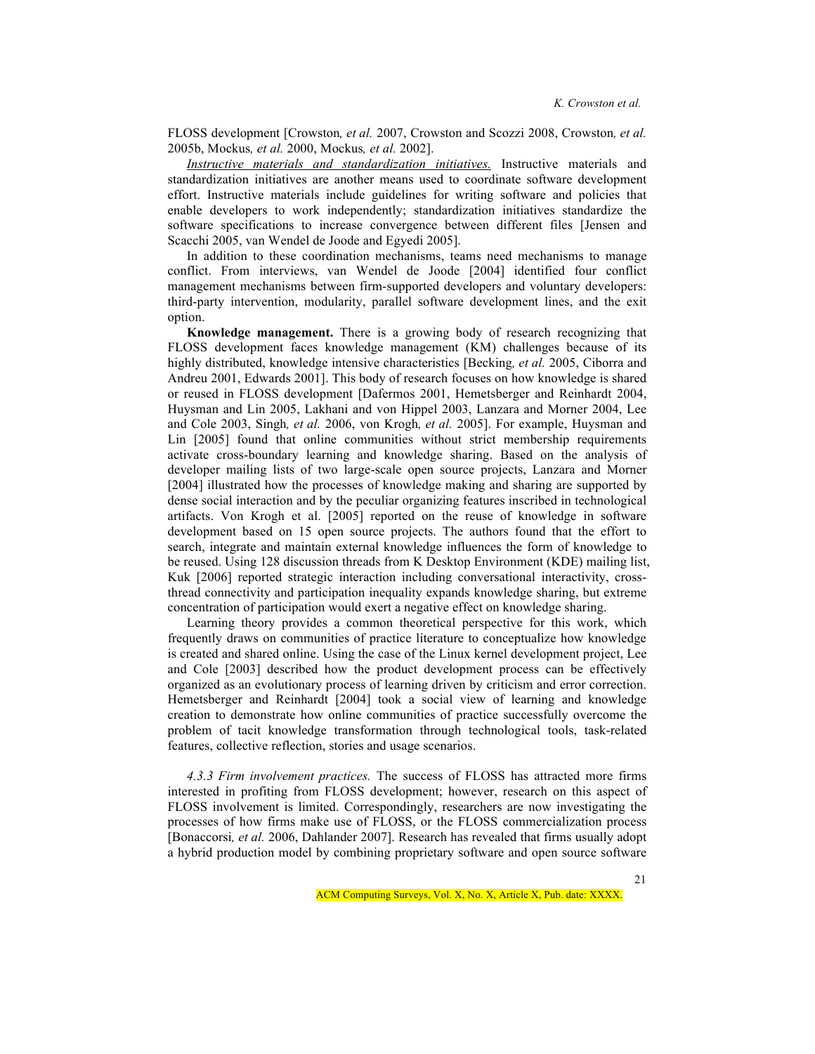FLOSS development [Crowston*, et al.* 2007, Crowston and Scozzi 2008, Crowston*, et al.* 2005b, Mockus*, et al.* 2000, Mockus*, et al.* 2002].

*Instructive materials and standardization initiatives.* Instructive materials and standardization initiatives are another means used to coordinate software development effort. Instructive materials include guidelines for writing software and policies that enable developers to work independently; standardization initiatives standardize the software specifications to increase convergence between different files [Jensen and Scacchi 2005, van Wendel de Joode and Egyedi 2005].

In addition to these coordination mechanisms, teams need mechanisms to manage conflict. From interviews, van Wendel de Joode [2004] identified four conflict management mechanisms between firm-supported developers and voluntary developers: third-party intervention, modularity, parallel software development lines, and the exit option.

**Knowledge management.** There is a growing body of research recognizing that FLOSS development faces knowledge management (KM) challenges because of its highly distributed, knowledge intensive characteristics [Becking*, et al.* 2005, Ciborra and Andreu 2001, Edwards 2001]. This body of research focuses on how knowledge is shared or reused in FLOSS development [Dafermos 2001, Hemetsberger and Reinhardt 2004, Huysman and Lin 2005, Lakhani and von Hippel 2003, Lanzara and Morner 2004, Lee and Cole 2003, Singh*, et al.* 2006, von Krogh*, et al.* 2005]. For example, Huysman and Lin [2005] found that online communities without strict membership requirements activate cross-boundary learning and knowledge sharing. Based on the analysis of developer mailing lists of two large-scale open source projects, Lanzara and Morner [2004] illustrated how the processes of knowledge making and sharing are supported by dense social interaction and by the peculiar organizing features inscribed in technological artifacts. Von Krogh et al. [2005] reported on the reuse of knowledge in software development based on 15 open source projects. The authors found that the effort to search, integrate and maintain external knowledge influences the form of knowledge to be reused. Using 128 discussion threads from K Desktop Environment (KDE) mailing list, Kuk [2006] reported strategic interaction including conversational interactivity, crossthread connectivity and participation inequality expands knowledge sharing, but extreme concentration of participation would exert a negative effect on knowledge sharing.

Learning theory provides a common theoretical perspective for this work, which frequently draws on communities of practice literature to conceptualize how knowledge is created and shared online. Using the case of the Linux kernel development project, Lee and Cole [2003] described how the product development process can be effectively organized as an evolutionary process of learning driven by criticism and error correction. Hemetsberger and Reinhardt [2004] took a social view of learning and knowledge creation to demonstrate how online communities of practice successfully overcome the problem of tacit knowledge transformation through technological tools, task-related features, collective reflection, stories and usage scenarios.

*4.3.3 Firm involvement practices.* The success of FLOSS has attracted more firms interested in profiting from FLOSS development; however, research on this aspect of FLOSS involvement is limited. Correspondingly, researchers are now investigating the processes of how firms make use of FLOSS, or the FLOSS commercialization process [Bonaccorsi*, et al.* 2006, Dahlander 2007]. Research has revealed that firms usually adopt a hybrid production model by combining proprietary software and open source software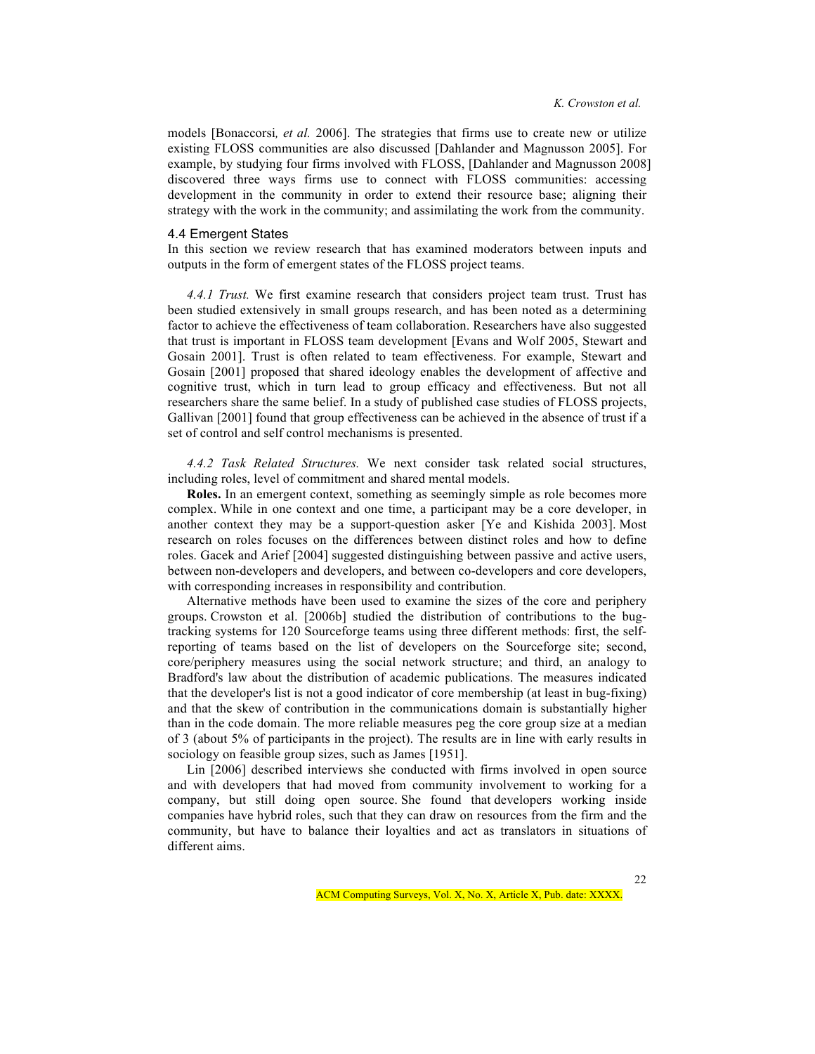models [Bonaccorsi*, et al.* 2006]. The strategies that firms use to create new or utilize existing FLOSS communities are also discussed [Dahlander and Magnusson 2005]. For example, by studying four firms involved with FLOSS, [Dahlander and Magnusson 2008] discovered three ways firms use to connect with FLOSS communities: accessing development in the community in order to extend their resource base; aligning their strategy with the work in the community; and assimilating the work from the community.

#### 4.4 Emergent States

In this section we review research that has examined moderators between inputs and outputs in the form of emergent states of the FLOSS project teams.

*4.4.1 Trust.* We first examine research that considers project team trust. Trust has been studied extensively in small groups research, and has been noted as a determining factor to achieve the effectiveness of team collaboration. Researchers have also suggested that trust is important in FLOSS team development [Evans and Wolf 2005, Stewart and Gosain 2001]. Trust is often related to team effectiveness. For example, Stewart and Gosain [2001] proposed that shared ideology enables the development of affective and cognitive trust, which in turn lead to group efficacy and effectiveness. But not all researchers share the same belief. In a study of published case studies of FLOSS projects, Gallivan [2001] found that group effectiveness can be achieved in the absence of trust if a set of control and self control mechanisms is presented.

*4.4.2 Task Related Structures.* We next consider task related social structures, including roles, level of commitment and shared mental models.

**Roles.** In an emergent context, something as seemingly simple as role becomes more complex. While in one context and one time, a participant may be a core developer, in another context they may be a support-question asker [Ye and Kishida 2003]. Most research on roles focuses on the differences between distinct roles and how to define roles. Gacek and Arief [2004] suggested distinguishing between passive and active users, between non-developers and developers, and between co-developers and core developers, with corresponding increases in responsibility and contribution.

Alternative methods have been used to examine the sizes of the core and periphery groups. Crowston et al. [2006b] studied the distribution of contributions to the bugtracking systems for 120 Sourceforge teams using three different methods: first, the selfreporting of teams based on the list of developers on the Sourceforge site; second, core/periphery measures using the social network structure; and third, an analogy to Bradford's law about the distribution of academic publications. The measures indicated that the developer's list is not a good indicator of core membership (at least in bug-fixing) and that the skew of contribution in the communications domain is substantially higher than in the code domain. The more reliable measures peg the core group size at a median of 3 (about 5% of participants in the project). The results are in line with early results in sociology on feasible group sizes, such as James [1951].

Lin [2006] described interviews she conducted with firms involved in open source and with developers that had moved from community involvement to working for a company, but still doing open source. She found that developers working inside companies have hybrid roles, such that they can draw on resources from the firm and the community, but have to balance their loyalties and act as translators in situations of different aims.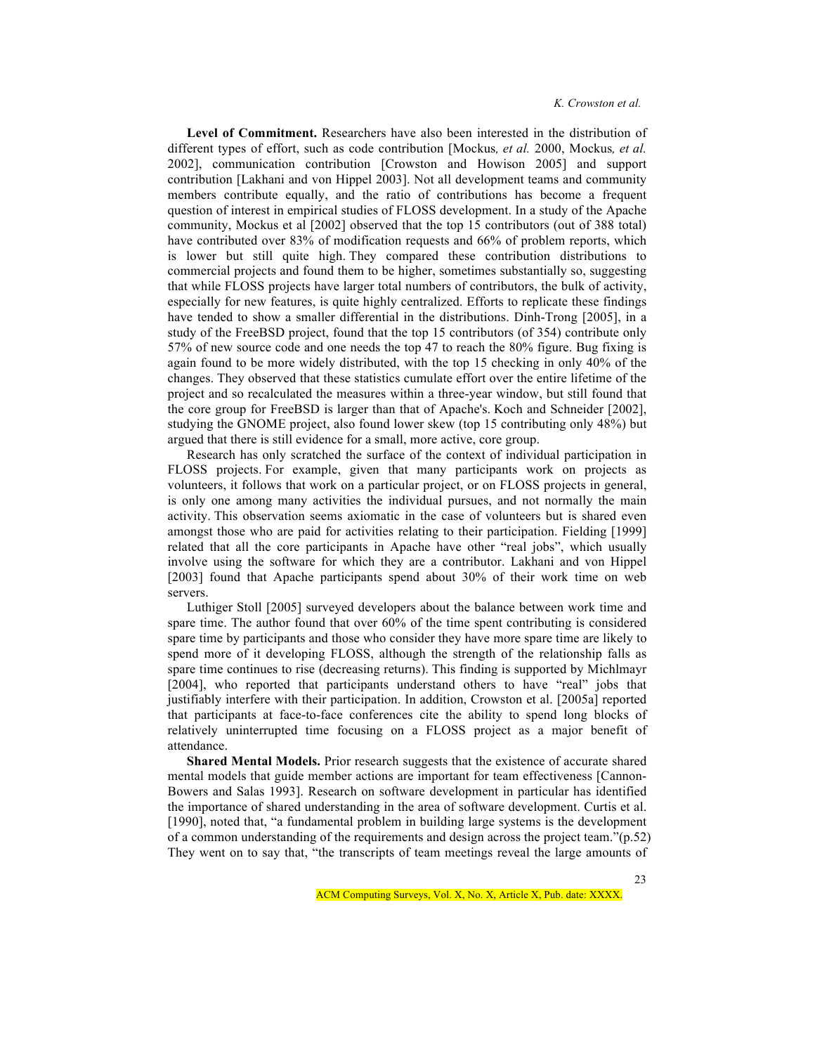**Level of Commitment.** Researchers have also been interested in the distribution of different types of effort, such as code contribution [Mockus*, et al.* 2000, Mockus*, et al.* 2002], communication contribution [Crowston and Howison 2005] and support contribution [Lakhani and von Hippel 2003]. Not all development teams and community members contribute equally, and the ratio of contributions has become a frequent question of interest in empirical studies of FLOSS development. In a study of the Apache community, Mockus et al [2002] observed that the top 15 contributors (out of 388 total) have contributed over 83% of modification requests and 66% of problem reports, which is lower but still quite high. They compared these contribution distributions to commercial projects and found them to be higher, sometimes substantially so, suggesting that while FLOSS projects have larger total numbers of contributors, the bulk of activity, especially for new features, is quite highly centralized. Efforts to replicate these findings have tended to show a smaller differential in the distributions. Dinh-Trong [2005], in a study of the FreeBSD project, found that the top 15 contributors (of 354) contribute only 57% of new source code and one needs the top 47 to reach the 80% figure. Bug fixing is again found to be more widely distributed, with the top 15 checking in only 40% of the changes. They observed that these statistics cumulate effort over the entire lifetime of the project and so recalculated the measures within a three-year window, but still found that the core group for FreeBSD is larger than that of Apache's. Koch and Schneider [2002], studying the GNOME project, also found lower skew (top 15 contributing only 48%) but argued that there is still evidence for a small, more active, core group.

Research has only scratched the surface of the context of individual participation in FLOSS projects. For example, given that many participants work on projects as volunteers, it follows that work on a particular project, or on FLOSS projects in general, is only one among many activities the individual pursues, and not normally the main activity. This observation seems axiomatic in the case of volunteers but is shared even amongst those who are paid for activities relating to their participation. Fielding [1999] related that all the core participants in Apache have other "real jobs", which usually involve using the software for which they are a contributor. Lakhani and von Hippel [2003] found that Apache participants spend about 30% of their work time on web servers.

Luthiger Stoll [2005] surveyed developers about the balance between work time and spare time. The author found that over 60% of the time spent contributing is considered spare time by participants and those who consider they have more spare time are likely to spend more of it developing FLOSS, although the strength of the relationship falls as spare time continues to rise (decreasing returns). This finding is supported by Michlmayr [2004], who reported that participants understand others to have "real" jobs that justifiably interfere with their participation. In addition, Crowston et al. [2005a] reported that participants at face-to-face conferences cite the ability to spend long blocks of relatively uninterrupted time focusing on a FLOSS project as a major benefit of attendance.

**Shared Mental Models.** Prior research suggests that the existence of accurate shared mental models that guide member actions are important for team effectiveness [Cannon-Bowers and Salas 1993]. Research on software development in particular has identified the importance of shared understanding in the area of software development. Curtis et al. [1990], noted that, "a fundamental problem in building large systems is the development of a common understanding of the requirements and design across the project team."(p.52) They went on to say that, "the transcripts of team meetings reveal the large amounts of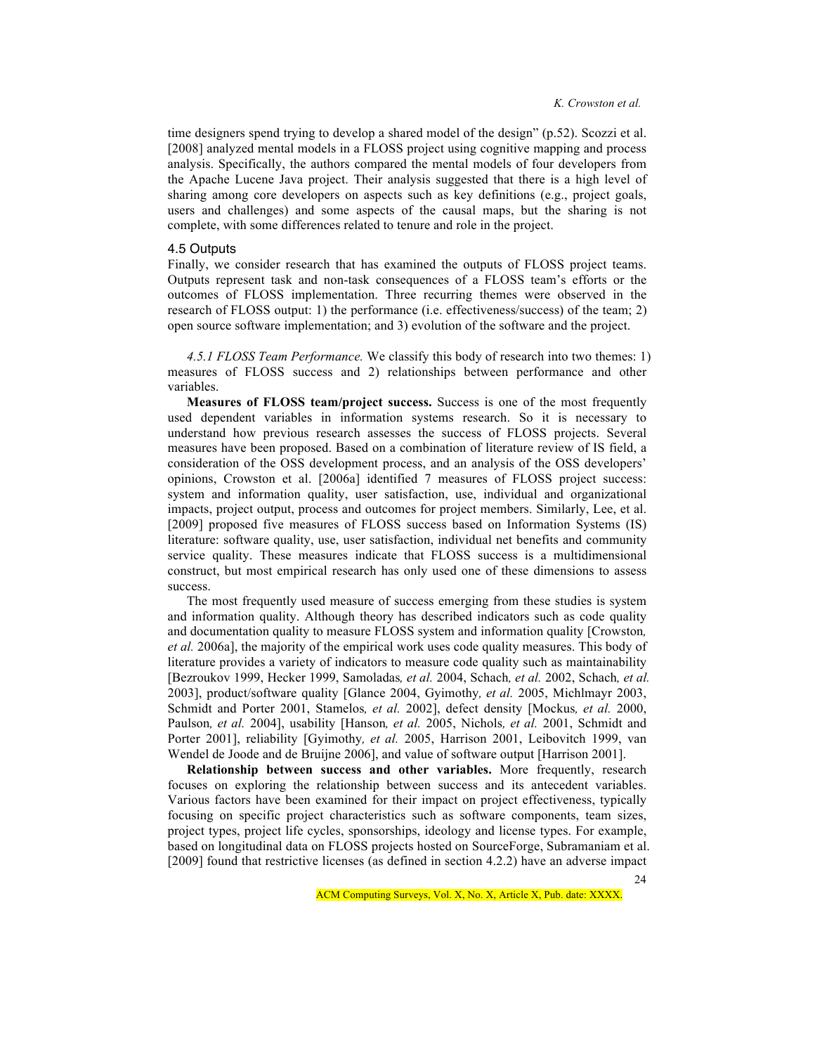time designers spend trying to develop a shared model of the design" (p.52). Scozzi et al. [2008] analyzed mental models in a FLOSS project using cognitive mapping and process analysis. Specifically, the authors compared the mental models of four developers from the Apache Lucene Java project. Their analysis suggested that there is a high level of sharing among core developers on aspects such as key definitions (e.g., project goals, users and challenges) and some aspects of the causal maps, but the sharing is not complete, with some differences related to tenure and role in the project.

## 4.5 Outputs

Finally, we consider research that has examined the outputs of FLOSS project teams. Outputs represent task and non-task consequences of a FLOSS team's efforts or the outcomes of FLOSS implementation. Three recurring themes were observed in the research of FLOSS output: 1) the performance (i.e. effectiveness/success) of the team; 2) open source software implementation; and 3) evolution of the software and the project.

*4.5.1 FLOSS Team Performance.* We classify this body of research into two themes: 1) measures of FLOSS success and 2) relationships between performance and other variables.

**Measures of FLOSS team/project success.** Success is one of the most frequently used dependent variables in information systems research. So it is necessary to understand how previous research assesses the success of FLOSS projects. Several measures have been proposed. Based on a combination of literature review of IS field, a consideration of the OSS development process, and an analysis of the OSS developers' opinions, Crowston et al. [2006a] identified 7 measures of FLOSS project success: system and information quality, user satisfaction, use, individual and organizational impacts, project output, process and outcomes for project members. Similarly, Lee, et al. [2009] proposed five measures of FLOSS success based on Information Systems (IS) literature: software quality, use, user satisfaction, individual net benefits and community service quality. These measures indicate that FLOSS success is a multidimensional construct, but most empirical research has only used one of these dimensions to assess success.

The most frequently used measure of success emerging from these studies is system and information quality. Although theory has described indicators such as code quality and documentation quality to measure FLOSS system and information quality [Crowston*, et al.* 2006a], the majority of the empirical work uses code quality measures. This body of literature provides a variety of indicators to measure code quality such as maintainability [Bezroukov 1999, Hecker 1999, Samoladas*, et al.* 2004, Schach*, et al.* 2002, Schach*, et al.* 2003], product/software quality [Glance 2004, Gyimothy*, et al.* 2005, Michlmayr 2003, Schmidt and Porter 2001, Stamelos*, et al.* 2002], defect density [Mockus*, et al.* 2000, Paulson*, et al.* 2004], usability [Hanson*, et al.* 2005, Nichols*, et al.* 2001, Schmidt and Porter 2001], reliability [Gyimothy*, et al.* 2005, Harrison 2001, Leibovitch 1999, van Wendel de Joode and de Bruijne 2006], and value of software output [Harrison 2001].

24 **Relationship between success and other variables.** More frequently, research focuses on exploring the relationship between success and its antecedent variables. Various factors have been examined for their impact on project effectiveness, typically focusing on specific project characteristics such as software components, team sizes, project types, project life cycles, sponsorships, ideology and license types. For example, based on longitudinal data on FLOSS projects hosted on SourceForge, Subramaniam et al. [2009] found that restrictive licenses (as defined in section 4.2.2) have an adverse impact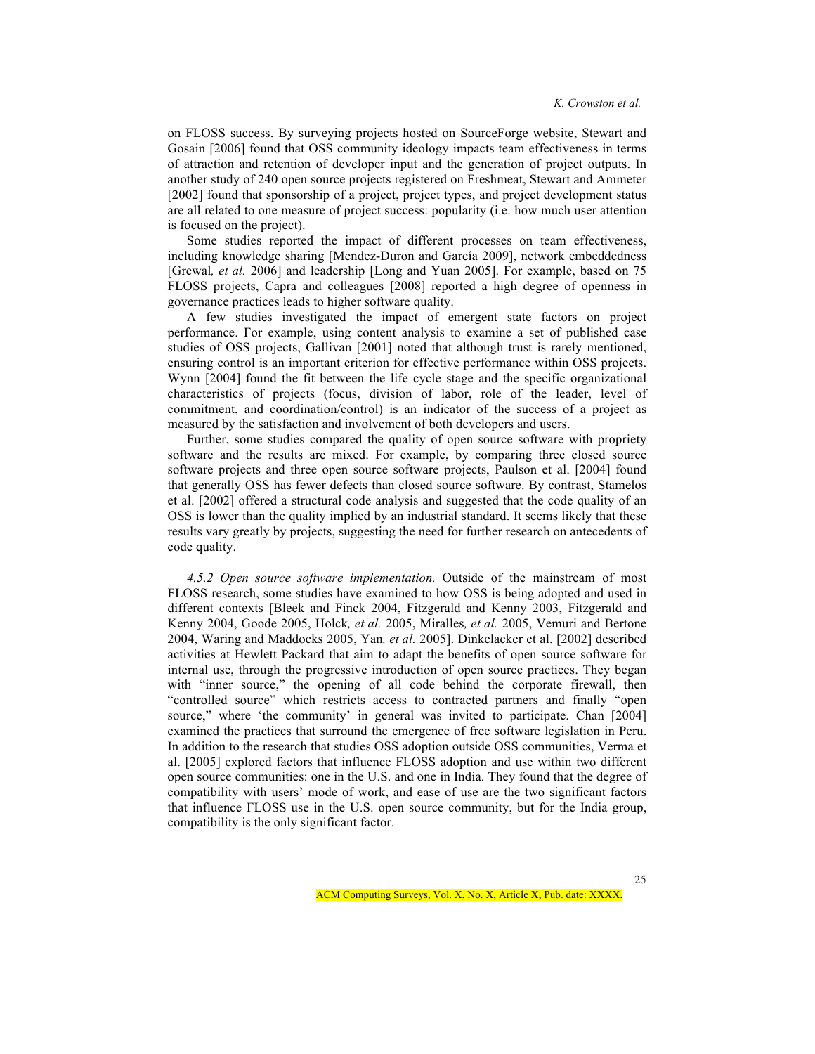on FLOSS success. By surveying projects hosted on SourceForge website, Stewart and Gosain [2006] found that OSS community ideology impacts team effectiveness in terms of attraction and retention of developer input and the generation of project outputs. In another study of 240 open source projects registered on Freshmeat, Stewart and Ammeter [2002] found that sponsorship of a project, project types, and project development status are all related to one measure of project success: popularity (i.e. how much user attention is focused on the project).

Some studies reported the impact of different processes on team effectiveness, including knowledge sharing [Mendez-Duron and García 2009], network embeddedness [Grewal, et al. 2006] and leadership [Long and Yuan 2005]. For example, based on 75 FLOSS projects, Capra and colleagues [2008] reported a high degree of openness in governance practices leads to higher software quality.

A few studies investigated the impact of emergent state factors on project performance. For example, using content analysis to examine a set of published case studies of OSS projects, Gallivan [2001] noted that although trust is rarely mentioned, ensuring control is an important criterion for effective performance within OSS projects. Wynn [2004] found the fit between the life cycle stage and the specific organizational characteristics of projects (focus, division of labor, role of the leader, level of commitment, and coordination/control) is an indicator of the success of a project as measured by the satisfaction and involvement of both developers and users.

Further, some studies compared the quality of open source software with propriety software and the results are mixed. For example, by comparing three closed source software projects and three open source software projects, Paulson et al. [2004] found that generally OSS has fewer defects than closed source software. By contrast, Stamelos et al. [2002] offered a structural code analysis and suggested that the code quality of an OSS is lower than the quality implied by an industrial standard. It seems likely that these results vary greatly by projects, suggesting the need for further research on antecedents of code quality.

*4.5.2 Open source software implementation.* Outside of the mainstream of most FLOSS research, some studies have examined to how OSS is being adopted and used in different contexts [Bleek and Finck 2004, Fitzgerald and Kenny 2003, Fitzgerald and Kenny 2004, Goode 2005, Holck*, et al.* 2005, Miralles*, et al.* 2005, Vemuri and Bertone 2004, Waring and Maddocks 2005, Yan*, et al.* 2005]. Dinkelacker et al. [2002] described activities at Hewlett Packard that aim to adapt the benefits of open source software for internal use, through the progressive introduction of open source practices. They began with "inner source," the opening of all code behind the corporate firewall, then "controlled source" which restricts access to contracted partners and finally "open source," where 'the community' in general was invited to participate. Chan [2004] examined the practices that surround the emergence of free software legislation in Peru. In addition to the research that studies OSS adoption outside OSS communities, Verma et al. [2005] explored factors that influence FLOSS adoption and use within two different open source communities: one in the U.S. and one in India. They found that the degree of compatibility with users' mode of work, and ease of use are the two significant factors that influence FLOSS use in the U.S. open source community, but for the India group, compatibility is the only significant factor.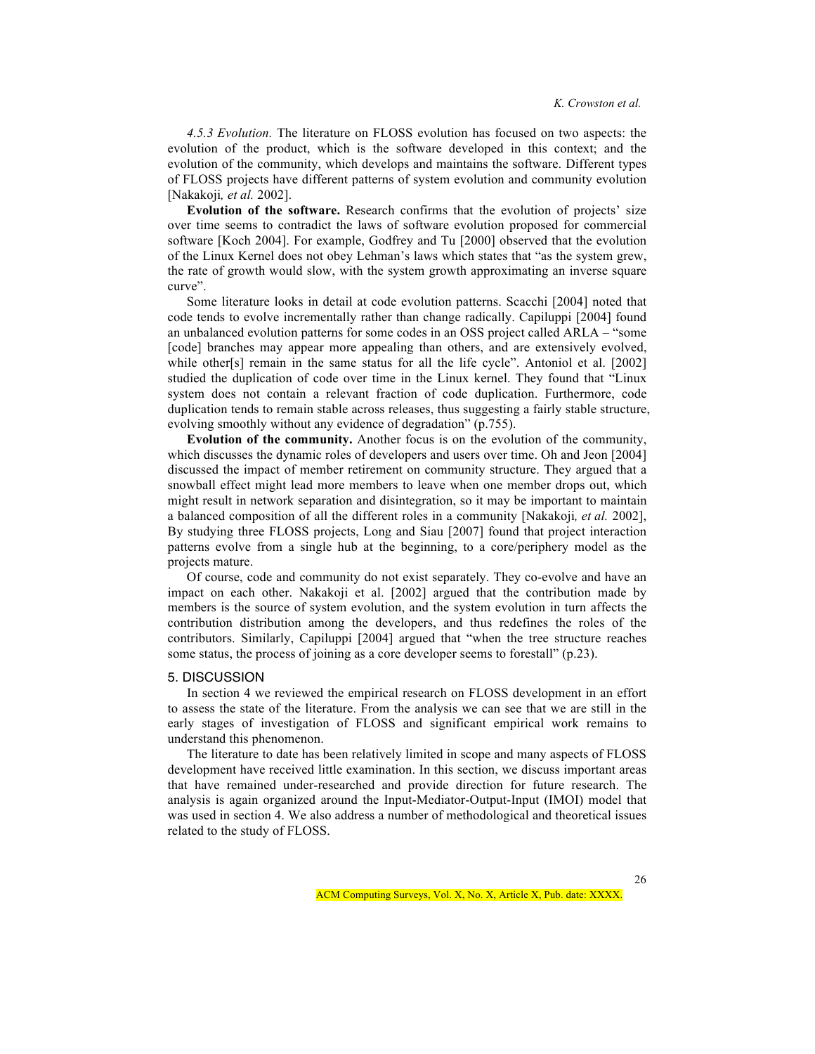*4.5.3 Evolution.* The literature on FLOSS evolution has focused on two aspects: the evolution of the product, which is the software developed in this context; and the evolution of the community, which develops and maintains the software. Different types of FLOSS projects have different patterns of system evolution and community evolution [Nakakoji*, et al.* 2002].

**Evolution of the software.** Research confirms that the evolution of projects' size over time seems to contradict the laws of software evolution proposed for commercial software [Koch 2004]. For example, Godfrey and Tu [2000] observed that the evolution of the Linux Kernel does not obey Lehman's laws which states that "as the system grew, the rate of growth would slow, with the system growth approximating an inverse square curve".

Some literature looks in detail at code evolution patterns. Scacchi [2004] noted that code tends to evolve incrementally rather than change radically. Capiluppi [2004] found an unbalanced evolution patterns for some codes in an OSS project called ARLA – "some [code] branches may appear more appealing than others, and are extensively evolved, while other[s] remain in the same status for all the life cycle". Antoniol et al. [2002] studied the duplication of code over time in the Linux kernel. They found that "Linux system does not contain a relevant fraction of code duplication. Furthermore, code duplication tends to remain stable across releases, thus suggesting a fairly stable structure, evolving smoothly without any evidence of degradation" (p.755).

**Evolution of the community.** Another focus is on the evolution of the community, which discusses the dynamic roles of developers and users over time. Oh and Jeon [2004] discussed the impact of member retirement on community structure. They argued that a snowball effect might lead more members to leave when one member drops out, which might result in network separation and disintegration, so it may be important to maintain a balanced composition of all the different roles in a community [Nakakoji*, et al.* 2002], By studying three FLOSS projects, Long and Siau [2007] found that project interaction patterns evolve from a single hub at the beginning, to a core/periphery model as the projects mature.

Of course, code and community do not exist separately. They co-evolve and have an impact on each other. Nakakoji et al. [2002] argued that the contribution made by members is the source of system evolution, and the system evolution in turn affects the contribution distribution among the developers, and thus redefines the roles of the contributors. Similarly, Capiluppi [2004] argued that "when the tree structure reaches some status, the process of joining as a core developer seems to forestall" (p.23).

#### 5. DISCUSSION

In section 4 we reviewed the empirical research on FLOSS development in an effort to assess the state of the literature. From the analysis we can see that we are still in the early stages of investigation of FLOSS and significant empirical work remains to understand this phenomenon.

The literature to date has been relatively limited in scope and many aspects of FLOSS development have received little examination. In this section, we discuss important areas that have remained under-researched and provide direction for future research. The analysis is again organized around the Input-Mediator-Output-Input (IMOI) model that was used in section 4. We also address a number of methodological and theoretical issues related to the study of FLOSS.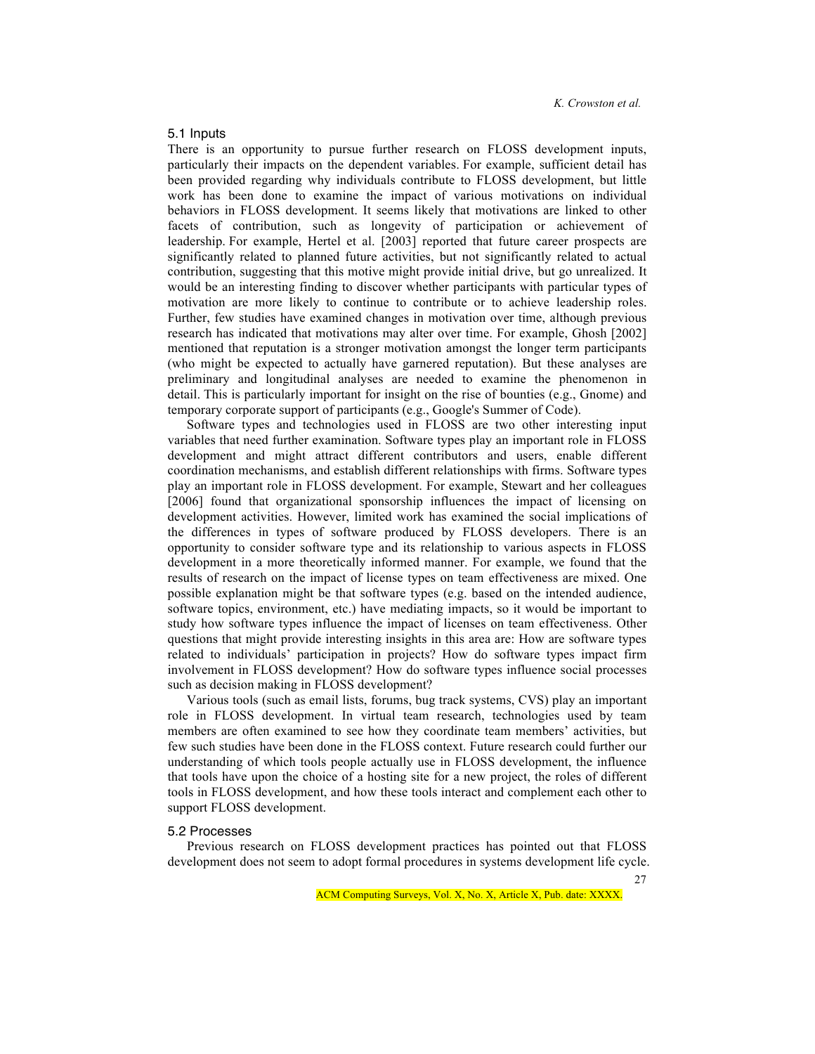## 5.1 Inputs

There is an opportunity to pursue further research on FLOSS development inputs, particularly their impacts on the dependent variables. For example, sufficient detail has been provided regarding why individuals contribute to FLOSS development, but little work has been done to examine the impact of various motivations on individual behaviors in FLOSS development. It seems likely that motivations are linked to other facets of contribution, such as longevity of participation or achievement of leadership. For example, Hertel et al. [2003] reported that future career prospects are significantly related to planned future activities, but not significantly related to actual contribution, suggesting that this motive might provide initial drive, but go unrealized. It would be an interesting finding to discover whether participants with particular types of motivation are more likely to continue to contribute or to achieve leadership roles. Further, few studies have examined changes in motivation over time, although previous research has indicated that motivations may alter over time. For example, Ghosh [2002] mentioned that reputation is a stronger motivation amongst the longer term participants (who might be expected to actually have garnered reputation). But these analyses are preliminary and longitudinal analyses are needed to examine the phenomenon in detail. This is particularly important for insight on the rise of bounties (e.g., Gnome) and temporary corporate support of participants (e.g., Google's Summer of Code).

Software types and technologies used in FLOSS are two other interesting input variables that need further examination. Software types play an important role in FLOSS development and might attract different contributors and users, enable different coordination mechanisms, and establish different relationships with firms. Software types play an important role in FLOSS development. For example, Stewart and her colleagues [2006] found that organizational sponsorship influences the impact of licensing on development activities. However, limited work has examined the social implications of the differences in types of software produced by FLOSS developers. There is an opportunity to consider software type and its relationship to various aspects in FLOSS development in a more theoretically informed manner. For example, we found that the results of research on the impact of license types on team effectiveness are mixed. One possible explanation might be that software types (e.g. based on the intended audience, software topics, environment, etc.) have mediating impacts, so it would be important to study how software types influence the impact of licenses on team effectiveness. Other questions that might provide interesting insights in this area are: How are software types related to individuals' participation in projects? How do software types impact firm involvement in FLOSS development? How do software types influence social processes such as decision making in FLOSS development?

Various tools (such as email lists, forums, bug track systems, CVS) play an important role in FLOSS development. In virtual team research, technologies used by team members are often examined to see how they coordinate team members' activities, but few such studies have been done in the FLOSS context. Future research could further our understanding of which tools people actually use in FLOSS development, the influence that tools have upon the choice of a hosting site for a new project, the roles of different tools in FLOSS development, and how these tools interact and complement each other to support FLOSS development.

### 5.2 Processes

Previous research on FLOSS development practices has pointed out that FLOSS development does not seem to adopt formal procedures in systems development life cycle.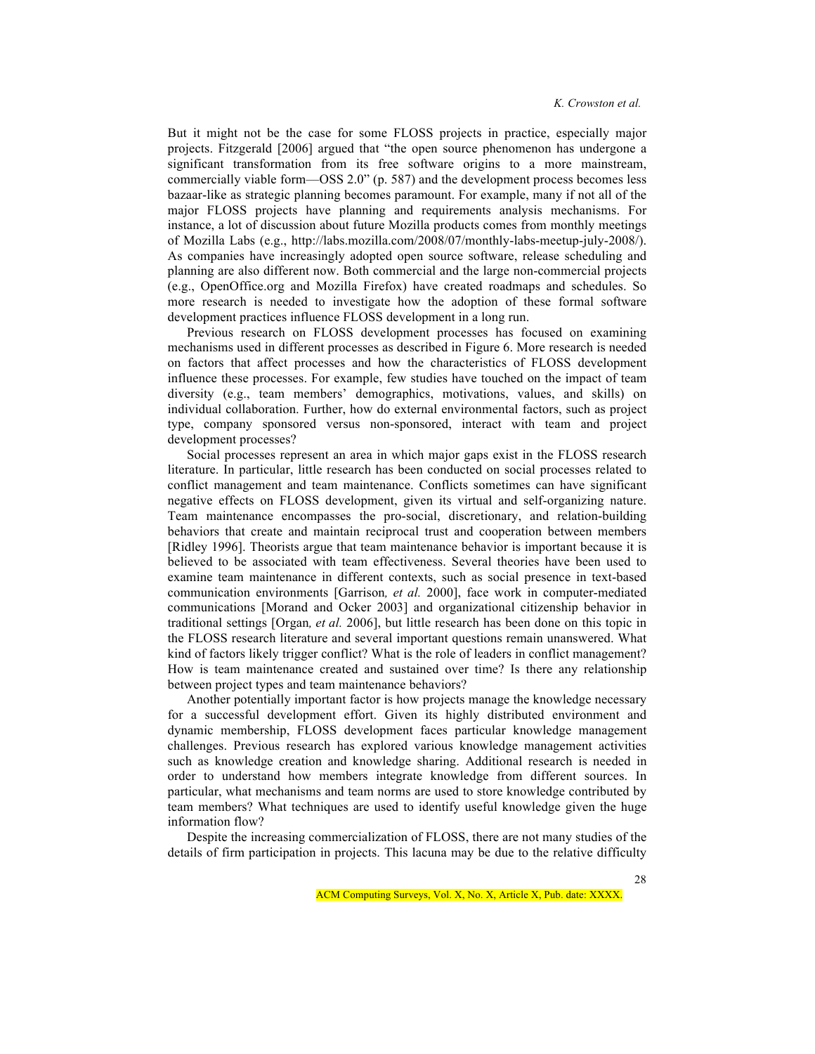But it might not be the case for some FLOSS projects in practice, especially major projects. Fitzgerald [2006] argued that "the open source phenomenon has undergone a significant transformation from its free software origins to a more mainstream, commercially viable form—OSS 2.0" (p. 587) and the development process becomes less bazaar-like as strategic planning becomes paramount. For example, many if not all of the major FLOSS projects have planning and requirements analysis mechanisms. For instance, a lot of discussion about future Mozilla products comes from monthly meetings of Mozilla Labs (e.g., http://labs.mozilla.com/2008/07/monthly-labs-meetup-july-2008/). As companies have increasingly adopted open source software, release scheduling and planning are also different now. Both commercial and the large non-commercial projects (e.g., OpenOffice.org and Mozilla Firefox) have created roadmaps and schedules. So more research is needed to investigate how the adoption of these formal software development practices influence FLOSS development in a long run.

Previous research on FLOSS development processes has focused on examining mechanisms used in different processes as described in Figure 6. More research is needed on factors that affect processes and how the characteristics of FLOSS development influence these processes. For example, few studies have touched on the impact of team diversity (e.g., team members' demographics, motivations, values, and skills) on individual collaboration. Further, how do external environmental factors, such as project type, company sponsored versus non-sponsored, interact with team and project development processes?

Social processes represent an area in which major gaps exist in the FLOSS research literature. In particular, little research has been conducted on social processes related to conflict management and team maintenance. Conflicts sometimes can have significant negative effects on FLOSS development, given its virtual and self-organizing nature. Team maintenance encompasses the pro-social, discretionary, and relation-building behaviors that create and maintain reciprocal trust and cooperation between members [Ridley 1996]. Theorists argue that team maintenance behavior is important because it is believed to be associated with team effectiveness. Several theories have been used to examine team maintenance in different contexts, such as social presence in text-based communication environments [Garrison*, et al.* 2000], face work in computer-mediated communications [Morand and Ocker 2003] and organizational citizenship behavior in traditional settings [Organ*, et al.* 2006], but little research has been done on this topic in the FLOSS research literature and several important questions remain unanswered. What kind of factors likely trigger conflict? What is the role of leaders in conflict management? How is team maintenance created and sustained over time? Is there any relationship between project types and team maintenance behaviors?

Another potentially important factor is how projects manage the knowledge necessary for a successful development effort. Given its highly distributed environment and dynamic membership, FLOSS development faces particular knowledge management challenges. Previous research has explored various knowledge management activities such as knowledge creation and knowledge sharing. Additional research is needed in order to understand how members integrate knowledge from different sources. In particular, what mechanisms and team norms are used to store knowledge contributed by team members? What techniques are used to identify useful knowledge given the huge information flow?

Despite the increasing commercialization of FLOSS, there are not many studies of the details of firm participation in projects. This lacuna may be due to the relative difficulty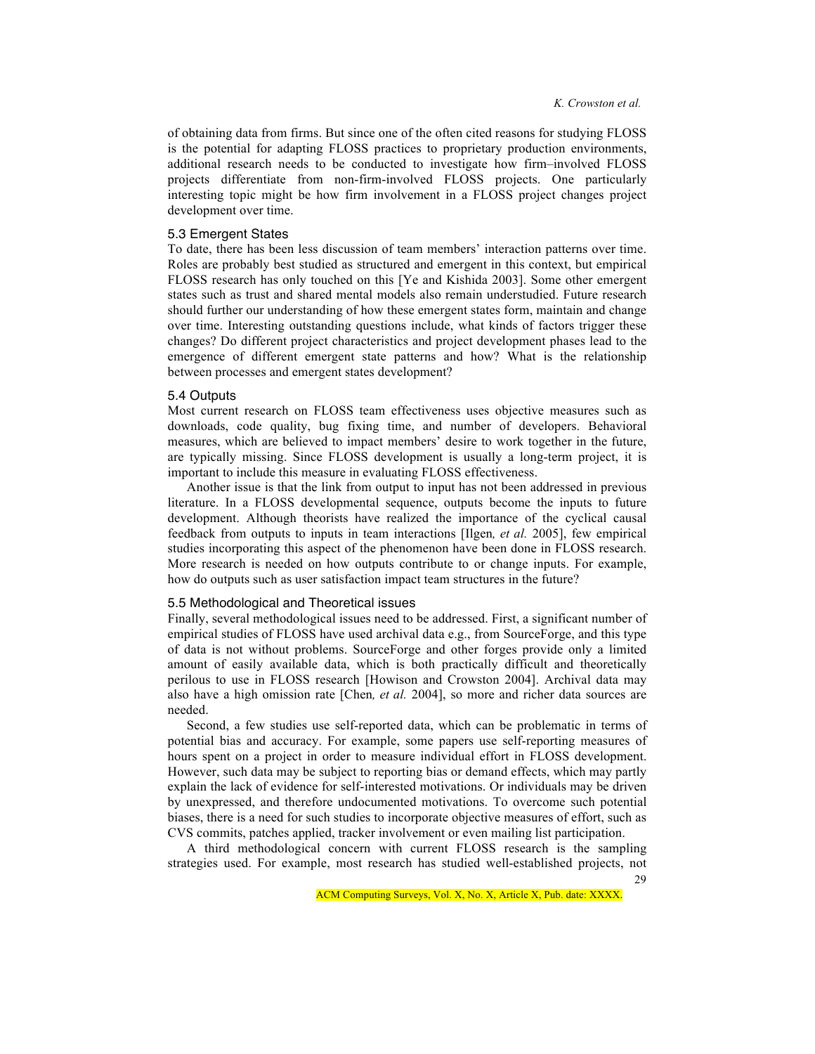of obtaining data from firms. But since one of the often cited reasons for studying FLOSS is the potential for adapting FLOSS practices to proprietary production environments, additional research needs to be conducted to investigate how firm–involved FLOSS projects differentiate from non-firm-involved FLOSS projects. One particularly interesting topic might be how firm involvement in a FLOSS project changes project development over time.

#### 5.3 Emergent States

To date, there has been less discussion of team members' interaction patterns over time. Roles are probably best studied as structured and emergent in this context, but empirical FLOSS research has only touched on this [Ye and Kishida 2003]. Some other emergent states such as trust and shared mental models also remain understudied. Future research should further our understanding of how these emergent states form, maintain and change over time. Interesting outstanding questions include, what kinds of factors trigger these changes? Do different project characteristics and project development phases lead to the emergence of different emergent state patterns and how? What is the relationship between processes and emergent states development?

#### 5.4 Outputs

Most current research on FLOSS team effectiveness uses objective measures such as downloads, code quality, bug fixing time, and number of developers. Behavioral measures, which are believed to impact members' desire to work together in the future, are typically missing. Since FLOSS development is usually a long-term project, it is important to include this measure in evaluating FLOSS effectiveness.

Another issue is that the link from output to input has not been addressed in previous literature. In a FLOSS developmental sequence, outputs become the inputs to future development. Although theorists have realized the importance of the cyclical causal feedback from outputs to inputs in team interactions [Ilgen*, et al.* 2005], few empirical studies incorporating this aspect of the phenomenon have been done in FLOSS research. More research is needed on how outputs contribute to or change inputs. For example, how do outputs such as user satisfaction impact team structures in the future?

## 5.5 Methodological and Theoretical issues

Finally, several methodological issues need to be addressed. First, a significant number of empirical studies of FLOSS have used archival data e.g., from SourceForge, and this type of data is not without problems. SourceForge and other forges provide only a limited amount of easily available data, which is both practically difficult and theoretically perilous to use in FLOSS research [Howison and Crowston 2004]. Archival data may also have a high omission rate [Chen*, et al.* 2004], so more and richer data sources are needed.

Second, a few studies use self-reported data, which can be problematic in terms of potential bias and accuracy. For example, some papers use self-reporting measures of hours spent on a project in order to measure individual effort in FLOSS development. However, such data may be subject to reporting bias or demand effects, which may partly explain the lack of evidence for self-interested motivations. Or individuals may be driven by unexpressed, and therefore undocumented motivations. To overcome such potential biases, there is a need for such studies to incorporate objective measures of effort, such as CVS commits, patches applied, tracker involvement or even mailing list participation.

29 A third methodological concern with current FLOSS research is the sampling strategies used. For example, most research has studied well-established projects, not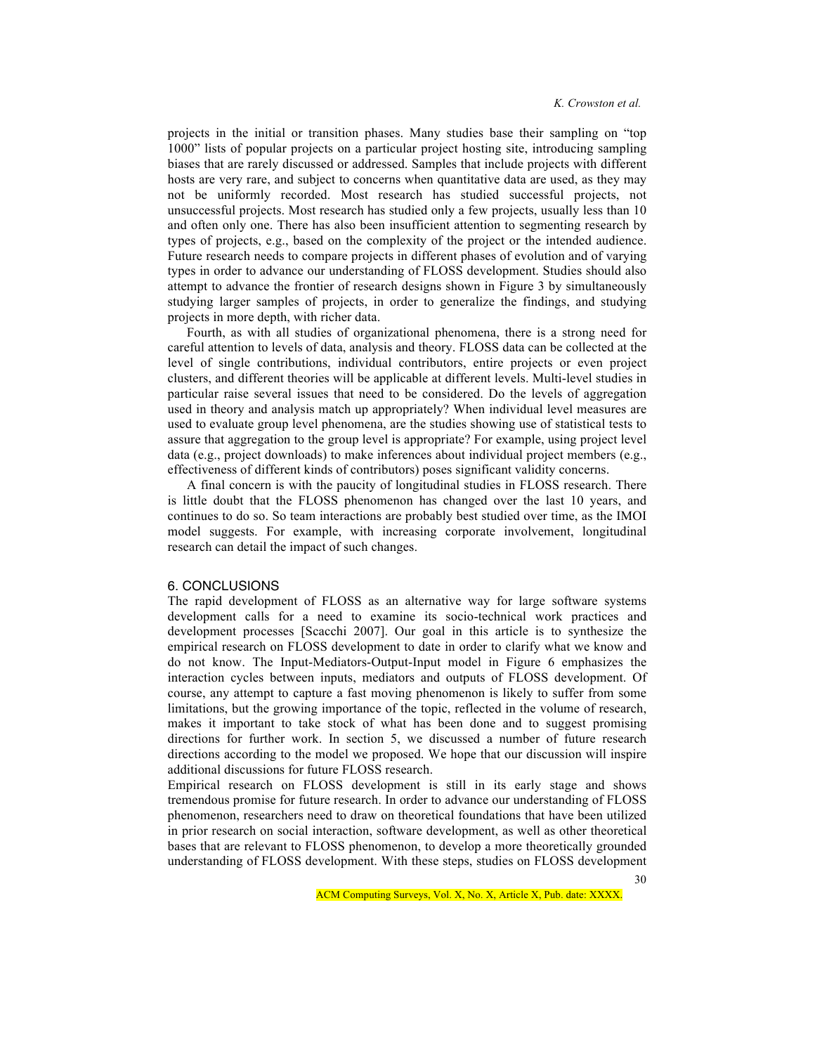projects in the initial or transition phases. Many studies base their sampling on "top 1000" lists of popular projects on a particular project hosting site, introducing sampling biases that are rarely discussed or addressed. Samples that include projects with different hosts are very rare, and subject to concerns when quantitative data are used, as they may not be uniformly recorded. Most research has studied successful projects, not unsuccessful projects. Most research has studied only a few projects, usually less than 10 and often only one. There has also been insufficient attention to segmenting research by types of projects, e.g., based on the complexity of the project or the intended audience. Future research needs to compare projects in different phases of evolution and of varying types in order to advance our understanding of FLOSS development. Studies should also attempt to advance the frontier of research designs shown in Figure 3 by simultaneously studying larger samples of projects, in order to generalize the findings, and studying projects in more depth, with richer data.

Fourth, as with all studies of organizational phenomena, there is a strong need for careful attention to levels of data, analysis and theory. FLOSS data can be collected at the level of single contributions, individual contributors, entire projects or even project clusters, and different theories will be applicable at different levels. Multi-level studies in particular raise several issues that need to be considered. Do the levels of aggregation used in theory and analysis match up appropriately? When individual level measures are used to evaluate group level phenomena, are the studies showing use of statistical tests to assure that aggregation to the group level is appropriate? For example, using project level data (e.g., project downloads) to make inferences about individual project members (e.g., effectiveness of different kinds of contributors) poses significant validity concerns.

A final concern is with the paucity of longitudinal studies in FLOSS research. There is little doubt that the FLOSS phenomenon has changed over the last 10 years, and continues to do so. So team interactions are probably best studied over time, as the IMOI model suggests. For example, with increasing corporate involvement, longitudinal research can detail the impact of such changes.

### 6. CONCLUSIONS

The rapid development of FLOSS as an alternative way for large software systems development calls for a need to examine its socio-technical work practices and development processes [Scacchi 2007]. Our goal in this article is to synthesize the empirical research on FLOSS development to date in order to clarify what we know and do not know. The Input-Mediators-Output-Input model in Figure 6 emphasizes the interaction cycles between inputs, mediators and outputs of FLOSS development. Of course, any attempt to capture a fast moving phenomenon is likely to suffer from some limitations, but the growing importance of the topic, reflected in the volume of research, makes it important to take stock of what has been done and to suggest promising directions for further work. In section 5, we discussed a number of future research directions according to the model we proposed. We hope that our discussion will inspire additional discussions for future FLOSS research.

30 Empirical research on FLOSS development is still in its early stage and shows tremendous promise for future research. In order to advance our understanding of FLOSS phenomenon, researchers need to draw on theoretical foundations that have been utilized in prior research on social interaction, software development, as well as other theoretical bases that are relevant to FLOSS phenomenon, to develop a more theoretically grounded understanding of FLOSS development. With these steps, studies on FLOSS development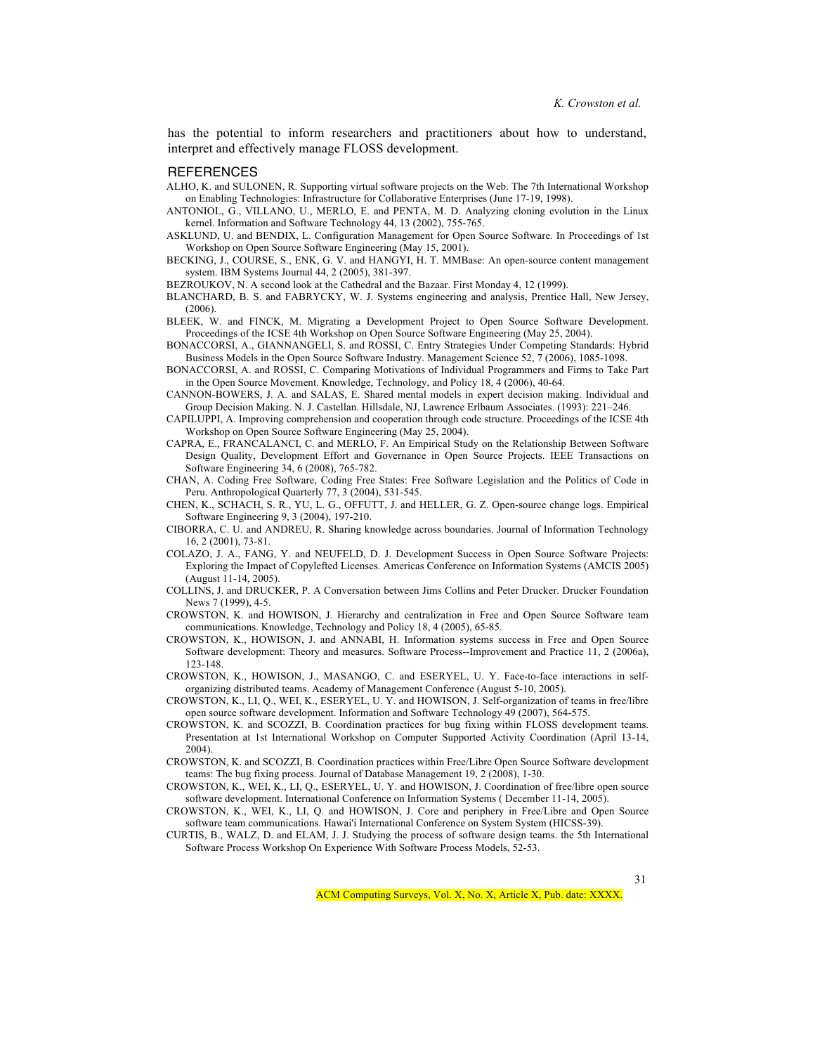has the potential to inform researchers and practitioners about how to understand, interpret and effectively manage FLOSS development.

#### **REFERENCES**

- ALHO, K. and SULONEN, R. Supporting virtual software projects on the Web. The 7th International Workshop on Enabling Technologies: Infrastructure for Collaborative Enterprises (June 17-19, 1998).
- ANTONIOL, G., VILLANO, U., MERLO, E. and PENTA, M. D. Analyzing cloning evolution in the Linux kernel. Information and Software Technology 44, 13 (2002), 755-765.
- ASKLUND, U. and BENDIX, L. Configuration Management for Open Source Software. In Proceedings of 1st Workshop on Open Source Software Engineering (May 15, 2001).
- BECKING, J., COURSE, S., ENK, G. V. and HANGYI, H. T. MMBase: An open-source content management system. IBM Systems Journal 44, 2 (2005), 381-397.
- BEZROUKOV, N. A second look at the Cathedral and the Bazaar. First Monday 4, 12 (1999).
- BLANCHARD, B. S. and FABRYCKY, W. J. Systems engineering and analysis, Prentice Hall, New Jersey, (2006).
- BLEEK, W. and FINCK, M. Migrating a Development Project to Open Source Software Development. Proceedings of the ICSE 4th Workshop on Open Source Software Engineering (May 25, 2004).
- BONACCORSI, A., GIANNANGELI, S. and ROSSI, C. Entry Strategies Under Competing Standards: Hybrid Business Models in the Open Source Software Industry. Management Science 52, 7 (2006), 1085-1098.
- BONACCORSI, A. and ROSSI, C. Comparing Motivations of Individual Programmers and Firms to Take Part in the Open Source Movement. Knowledge, Technology, and Policy 18, 4 (2006), 40-64.
- CANNON-BOWERS, J. A. and SALAS, E. Shared mental models in expert decision making. Individual and Group Decision Making. N. J. Castellan. Hillsdale, NJ, Lawrence Erlbaum Associates. (1993): 221–246.
- CAPILUPPI, A. Improving comprehension and cooperation through code structure. Proceedings of the ICSE 4th Workshop on Open Source Software Engineering (May 25, 2004).
- CAPRA, E., FRANCALANCI, C. and MERLO, F. An Empirical Study on the Relationship Between Software Design Quality, Development Effort and Governance in Open Source Projects. IEEE Transactions on Software Engineering 34, 6 (2008), 765-782.
- CHAN, A. Coding Free Software, Coding Free States: Free Software Legislation and the Politics of Code in Peru. Anthropological Quarterly 77, 3 (2004), 531-545.
- CHEN, K., SCHACH, S. R., YU, L. G., OFFUTT, J. and HELLER, G. Z. Open-source change logs. Empirical Software Engineering 9, 3 (2004), 197-210.
- CIBORRA, C. U. and ANDREU, R. Sharing knowledge across boundaries. Journal of Information Technology 16, 2 (2001), 73-81.
- COLAZO, J. A., FANG, Y. and NEUFELD, D. J. Development Success in Open Source Software Projects: Exploring the Impact of Copylefted Licenses. Americas Conference on Information Systems (AMCIS 2005) (August 11-14, 2005).
- COLLINS, J. and DRUCKER, P. A Conversation between Jims Collins and Peter Drucker. Drucker Foundation News 7 (1999), 4-5.
- CROWSTON, K. and HOWISON, J. Hierarchy and centralization in Free and Open Source Software team communications. Knowledge, Technology and Policy 18, 4 (2005), 65-85.
- CROWSTON, K., HOWISON, J. and ANNABI, H. Information systems success in Free and Open Source Software development: Theory and measures. Software Process--Improvement and Practice 11, 2 (2006a), 123-148.
- CROWSTON, K., HOWISON, J., MASANGO, C. and ESERYEL, U. Y. Face-to-face interactions in selforganizing distributed teams. Academy of Management Conference (August 5-10, 2005).
- CROWSTON, K., LI, Q., WEI, K., ESERYEL, U. Y. and HOWISON, J. Self-organization of teams in free/libre open source software development. Information and Software Technology 49 (2007), 564-575.
- CROWSTON, K. and SCOZZI, B. Coordination practices for bug fixing within FLOSS development teams. Presentation at 1st International Workshop on Computer Supported Activity Coordination (April 13-14, 2004).
- CROWSTON, K. and SCOZZI, B. Coordination practices within Free/Libre Open Source Software development teams: The bug fixing process. Journal of Database Management 19, 2 (2008), 1-30.
- CROWSTON, K., WEI, K., LI, Q., ESERYEL, U. Y. and HOWISON, J. Coordination of free/libre open source software development. International Conference on Information Systems ( December 11-14, 2005).
- CROWSTON, K., WEI, K., LI, Q. and HOWISON, J. Core and periphery in Free/Libre and Open Source software team communications. Hawai'i International Conference on System System (HICSS-39).
- CURTIS, B., WALZ, D. and ELAM, J. J. Studying the process of software design teams. the 5th International Software Process Workshop On Experience With Software Process Models, 52-53.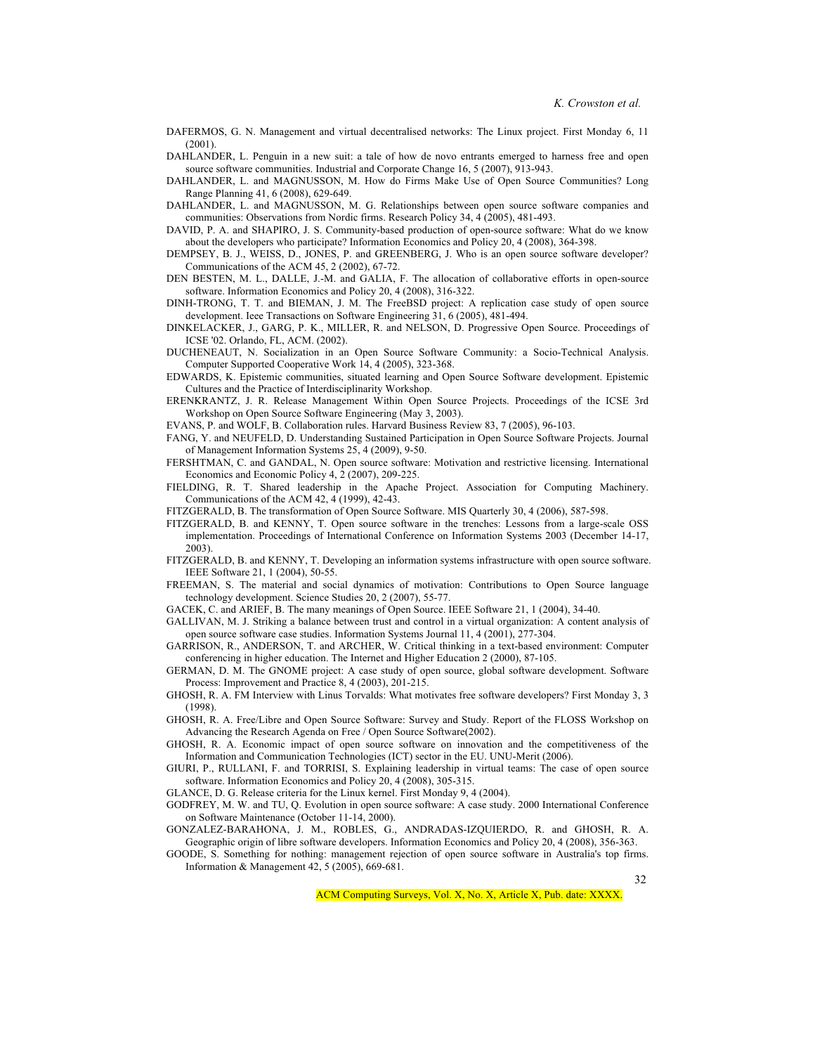- DAFERMOS, G. N. Management and virtual decentralised networks: The Linux project. First Monday 6, 11  $(2001)$
- DAHLANDER, L. Penguin in a new suit: a tale of how de novo entrants emerged to harness free and open source software communities. Industrial and Corporate Change 16, 5 (2007), 913-943.
- DAHLANDER, L. and MAGNUSSON, M. How do Firms Make Use of Open Source Communities? Long Range Planning 41, 6 (2008), 629-649.
- DAHLANDER, L. and MAGNUSSON, M. G. Relationships between open source software companies and communities: Observations from Nordic firms. Research Policy 34, 4 (2005), 481-493.
- DAVID, P. A. and SHAPIRO, J. S. Community-based production of open-source software: What do we know about the developers who participate? Information Economics and Policy 20, 4 (2008), 364-398.
- DEMPSEY, B. J., WEISS, D., JONES, P. and GREENBERG, J. Who is an open source software developer? Communications of the ACM 45, 2 (2002), 67-72.
- DEN BESTEN, M. L., DALLE, J.-M. and GALIA, F. The allocation of collaborative efforts in open-source software. Information Economics and Policy 20, 4 (2008), 316-322.
- DINH-TRONG, T. T. and BIEMAN, J. M. The FreeBSD project: A replication case study of open source development. Ieee Transactions on Software Engineering 31, 6 (2005), 481-494.
- DINKELACKER, J., GARG, P. K., MILLER, R. and NELSON, D. Progressive Open Source. Proceedings of ICSE '02. Orlando, FL, ACM. (2002).
- DUCHENEAUT, N. Socialization in an Open Source Software Community: a Socio-Technical Analysis. Computer Supported Cooperative Work 14, 4 (2005), 323-368.
- EDWARDS, K. Epistemic communities, situated learning and Open Source Software development. Epistemic Cultures and the Practice of Interdisciplinarity Workshop.
- ERENKRANTZ, J. R. Release Management Within Open Source Projects. Proceedings of the ICSE 3rd Workshop on Open Source Software Engineering (May 3, 2003).
- EVANS, P. and WOLF, B. Collaboration rules. Harvard Business Review 83, 7 (2005), 96-103.
- FANG, Y. and NEUFELD, D. Understanding Sustained Participation in Open Source Software Projects. Journal of Management Information Systems 25, 4 (2009), 9-50.
- FERSHTMAN, C. and GANDAL, N. Open source software: Motivation and restrictive licensing. International Economics and Economic Policy 4, 2 (2007), 209-225.
- FIELDING, R. T. Shared leadership in the Apache Project. Association for Computing Machinery. Communications of the ACM 42, 4 (1999), 42-43.
- FITZGERALD, B. The transformation of Open Source Software. MIS Quarterly 30, 4 (2006), 587-598.
- FITZGERALD, B. and KENNY, T. Open source software in the trenches: Lessons from a large-scale OSS implementation. Proceedings of International Conference on Information Systems 2003 (December 14-17, 2003).
- FITZGERALD, B. and KENNY, T. Developing an information systems infrastructure with open source software. IEEE Software 21, 1 (2004), 50-55.
- FREEMAN, S. The material and social dynamics of motivation: Contributions to Open Source language technology development. Science Studies 20, 2 (2007), 55-77.
- GACEK, C. and ARIEF, B. The many meanings of Open Source. IEEE Software 21, 1 (2004), 34-40.
- GALLIVAN, M. J. Striking a balance between trust and control in a virtual organization: A content analysis of open source software case studies. Information Systems Journal 11, 4 (2001), 277-304.
- GARRISON, R., ANDERSON, T. and ARCHER, W. Critical thinking in a text-based environment: Computer conferencing in higher education. The Internet and Higher Education 2 (2000), 87-105.
- GERMAN, D. M. The GNOME project: A case study of open source, global software development. Software Process: Improvement and Practice 8, 4 (2003), 201-215.
- GHOSH, R. A. FM Interview with Linus Torvalds: What motivates free software developers? First Monday 3, 3 (1998).
- GHOSH, R. A. Free/Libre and Open Source Software: Survey and Study. Report of the FLOSS Workshop on Advancing the Research Agenda on Free / Open Source Software(2002).
- GHOSH, R. A. Economic impact of open source software on innovation and the competitiveness of the Information and Communication Technologies (ICT) sector in the EU. UNU-Merit (2006).
- GIURI, P., RULLANI, F. and TORRISI, S. Explaining leadership in virtual teams: The case of open source software. Information Economics and Policy 20, 4 (2008), 305-315.
- GLANCE, D. G. Release criteria for the Linux kernel. First Monday 9, 4 (2004).
- GODFREY, M. W. and TU, Q. Evolution in open source software: A case study. 2000 International Conference on Software Maintenance (October 11-14, 2000).
- GONZALEZ-BARAHONA, J. M., ROBLES, G., ANDRADAS-IZQUIERDO, R. and GHOSH, R. A. Geographic origin of libre software developers. Information Economics and Policy 20, 4 (2008), 356-363.
- GOODE, S. Something for nothing: management rejection of open source software in Australia's top firms. Information & Management 42, 5 (2005), 669-681.

32

ACM Computing Surveys, Vol. X, No. X, Article X, Pub. date: XXXX.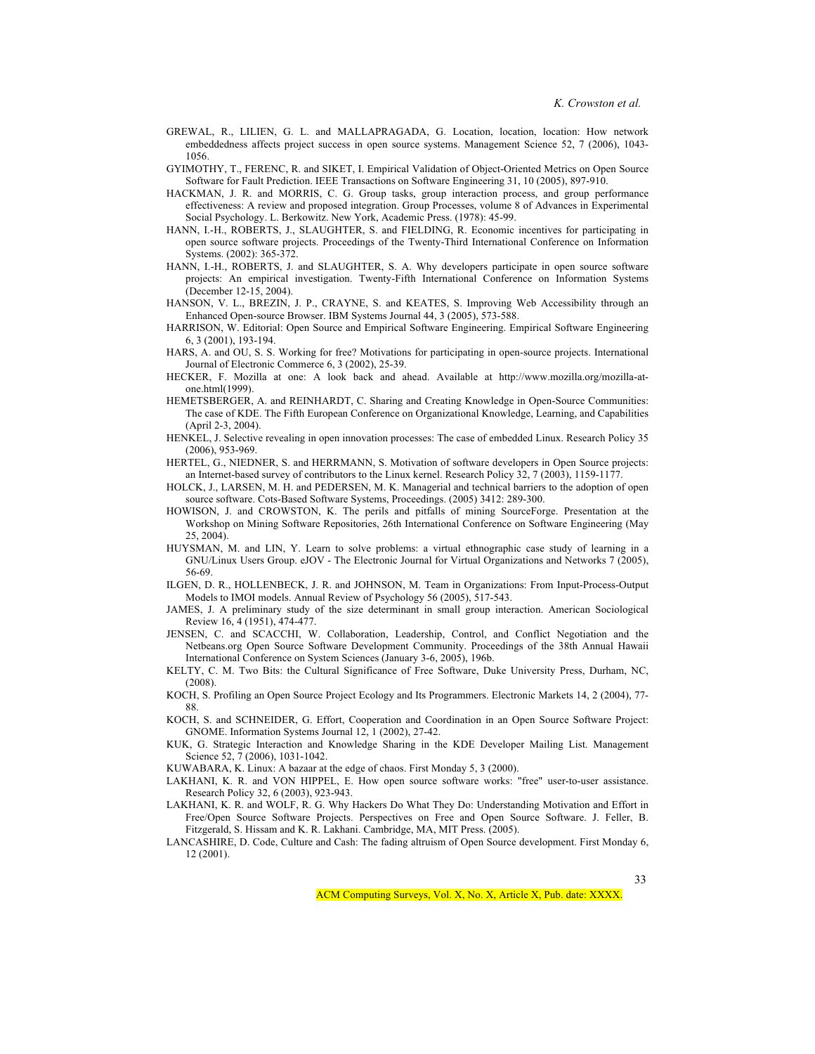- GREWAL, R., LILIEN, G. L. and MALLAPRAGADA, G. Location, location, location: How network embeddedness affects project success in open source systems. Management Science 52, 7 (2006), 1043- 1056.
- GYIMOTHY, T., FERENC, R. and SIKET, I. Empirical Validation of Object-Oriented Metrics on Open Source Software for Fault Prediction. IEEE Transactions on Software Engineering 31, 10 (2005), 897-910.
- HACKMAN, J. R. and MORRIS, C. G. Group tasks, group interaction process, and group performance effectiveness: A review and proposed integration. Group Processes, volume 8 of Advances in Experimental Social Psychology. L. Berkowitz. New York, Academic Press. (1978): 45-99.
- HANN, I.-H., ROBERTS, J., SLAUGHTER, S. and FIELDING, R. Economic incentives for participating in open source software projects. Proceedings of the Twenty-Third International Conference on Information Systems. (2002): 365-372.
- HANN, I.-H., ROBERTS, J. and SLAUGHTER, S. A. Why developers participate in open source software projects: An empirical investigation. Twenty-Fifth International Conference on Information Systems (December 12-15, 2004).
- HANSON, V. L., BREZIN, J. P., CRAYNE, S. and KEATES, S. Improving Web Accessibility through an Enhanced Open-source Browser. IBM Systems Journal 44, 3 (2005), 573-588.
- HARRISON, W. Editorial: Open Source and Empirical Software Engineering. Empirical Software Engineering 6, 3 (2001), 193-194.
- HARS, A. and OU, S. S. Working for free? Motivations for participating in open-source projects. International Journal of Electronic Commerce 6, 3 (2002), 25-39.
- HECKER, F. Mozilla at one: A look back and ahead. Available at http://www.mozilla.org/mozilla-atone.html(1999).
- HEMETSBERGER, A. and REINHARDT, C. Sharing and Creating Knowledge in Open-Source Communities: The case of KDE. The Fifth European Conference on Organizational Knowledge, Learning, and Capabilities (April 2-3, 2004).
- HENKEL, J. Selective revealing in open innovation processes: The case of embedded Linux. Research Policy 35 (2006), 953-969.
- HERTEL, G., NIEDNER, S. and HERRMANN, S. Motivation of software developers in Open Source projects: an Internet-based survey of contributors to the Linux kernel. Research Policy 32, 7 (2003), 1159-1177.
- HOLCK, J., LARSEN, M. H. and PEDERSEN, M. K. Managerial and technical barriers to the adoption of open source software. Cots-Based Software Systems, Proceedings. (2005) 3412: 289-300.
- HOWISON, J. and CROWSTON, K. The perils and pitfalls of mining SourceForge. Presentation at the Workshop on Mining Software Repositories, 26th International Conference on Software Engineering (May 25, 2004).
- HUYSMAN, M. and LIN, Y. Learn to solve problems: a virtual ethnographic case study of learning in a GNU/Linux Users Group. eJOV - The Electronic Journal for Virtual Organizations and Networks 7 (2005), 56-69.
- ILGEN, D. R., HOLLENBECK, J. R. and JOHNSON, M. Team in Organizations: From Input-Process-Output Models to IMOI models. Annual Review of Psychology 56 (2005), 517-543.
- JAMES, J. A preliminary study of the size determinant in small group interaction. American Sociological Review 16, 4 (1951), 474-477.
- JENSEN, C. and SCACCHI, W. Collaboration, Leadership, Control, and Conflict Negotiation and the Netbeans.org Open Source Software Development Community. Proceedings of the 38th Annual Hawaii International Conference on System Sciences (January 3-6, 2005), 196b.
- KELTY, C. M. Two Bits: the Cultural Significance of Free Software, Duke University Press, Durham, NC, (2008).
- KOCH, S. Profiling an Open Source Project Ecology and Its Programmers. Electronic Markets 14, 2 (2004), 77- 88.
- KOCH, S. and SCHNEIDER, G. Effort, Cooperation and Coordination in an Open Source Software Project: GNOME. Information Systems Journal 12, 1 (2002), 27-42.
- KUK, G. Strategic Interaction and Knowledge Sharing in the KDE Developer Mailing List. Management Science 52, 7 (2006), 1031-1042.
- KUWABARA, K. Linux: A bazaar at the edge of chaos. First Monday 5, 3 (2000).
- LAKHANI, K. R. and VON HIPPEL, E. How open source software works: "free" user-to-user assistance. Research Policy 32, 6 (2003), 923-943.
- LAKHANI, K. R. and WOLF, R. G. Why Hackers Do What They Do: Understanding Motivation and Effort in Free/Open Source Software Projects. Perspectives on Free and Open Source Software. J. Feller, B. Fitzgerald, S. Hissam and K. R. Lakhani. Cambridge, MA, MIT Press. (2005).
- LANCASHIRE, D. Code, Culture and Cash: The fading altruism of Open Source development. First Monday 6, 12 (2001).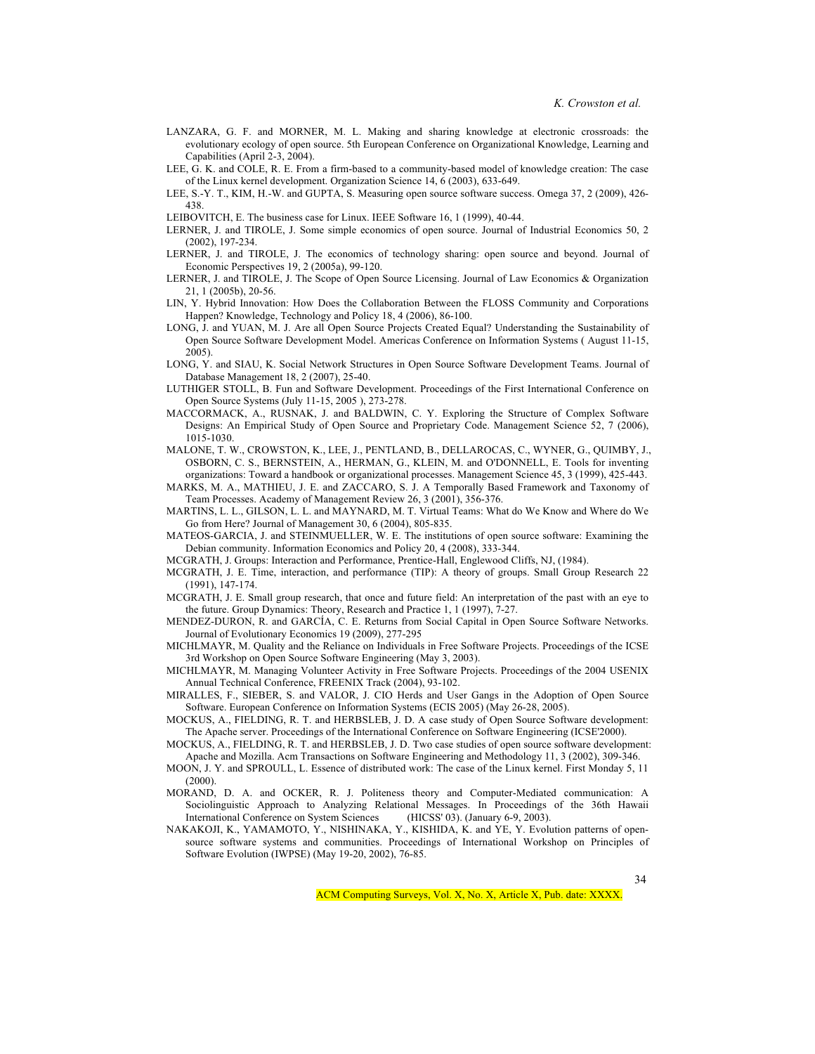- LANZARA, G. F. and MORNER, M. L. Making and sharing knowledge at electronic crossroads: the evolutionary ecology of open source. 5th European Conference on Organizational Knowledge, Learning and Capabilities (April 2-3, 2004).
- LEE, G. K. and COLE, R. E. From a firm-based to a community-based model of knowledge creation: The case of the Linux kernel development. Organization Science 14, 6 (2003), 633-649.
- LEE, S.-Y. T., KIM, H.-W. and GUPTA, S. Measuring open source software success. Omega 37, 2 (2009), 426- 438.
- LEIBOVITCH, E. The business case for Linux. IEEE Software 16, 1 (1999), 40-44.
- LERNER, J. and TIROLE, J. Some simple economics of open source. Journal of Industrial Economics 50, 2 (2002), 197-234.
- LERNER, J. and TIROLE, J. The economics of technology sharing: open source and beyond. Journal of Economic Perspectives 19, 2 (2005a), 99-120.
- LERNER, J. and TIROLE, J. The Scope of Open Source Licensing. Journal of Law Economics & Organization 21, 1 (2005b), 20-56.
- LIN, Y. Hybrid Innovation: How Does the Collaboration Between the FLOSS Community and Corporations Happen? Knowledge, Technology and Policy 18, 4 (2006), 86-100.
- LONG, J. and YUAN, M. J. Are all Open Source Projects Created Equal? Understanding the Sustainability of Open Source Software Development Model. Americas Conference on Information Systems ( August 11-15, 2005).
- LONG, Y. and SIAU, K. Social Network Structures in Open Source Software Development Teams. Journal of Database Management 18, 2 (2007), 25-40.
- LUTHIGER STOLL, B. Fun and Software Development. Proceedings of the First International Conference on Open Source Systems (July 11-15, 2005 ), 273-278.
- MACCORMACK, A., RUSNAK, J. and BALDWIN, C. Y. Exploring the Structure of Complex Software Designs: An Empirical Study of Open Source and Proprietary Code. Management Science 52, 7 (2006), 1015-1030.
- MALONE, T. W., CROWSTON, K., LEE, J., PENTLAND, B., DELLAROCAS, C., WYNER, G., QUIMBY, J., OSBORN, C. S., BERNSTEIN, A., HERMAN, G., KLEIN, M. and O'DONNELL, E. Tools for inventing organizations: Toward a handbook or organizational processes. Management Science 45, 3 (1999), 425-443.
- MARKS, M. A., MATHIEU, J. E. and ZACCARO, S. J. A Temporally Based Framework and Taxonomy of Team Processes. Academy of Management Review 26, 3 (2001), 356-376.
- MARTINS, L. L., GILSON, L. L. and MAYNARD, M. T. Virtual Teams: What do We Know and Where do We Go from Here? Journal of Management 30, 6 (2004), 805-835.
- MATEOS-GARCIA, J. and STEINMUELLER, W. E. The institutions of open source software: Examining the Debian community. Information Economics and Policy 20, 4 (2008), 333-344.
- MCGRATH, J. Groups: Interaction and Performance, Prentice-Hall, Englewood Cliffs, NJ, (1984).
- MCGRATH, J. E. Time, interaction, and performance (TIP): A theory of groups. Small Group Research 22 (1991), 147-174.
- MCGRATH, J. E. Small group research, that once and future field: An interpretation of the past with an eye to the future. Group Dynamics: Theory, Research and Practice 1, 1 (1997), 7-27.
- MENDEZ-DURON, R. and GARCÍA, C. E. Returns from Social Capital in Open Source Software Networks. Journal of Evolutionary Economics 19 (2009), 277-295
- MICHLMAYR, M. Quality and the Reliance on Individuals in Free Software Projects. Proceedings of the ICSE 3rd Workshop on Open Source Software Engineering (May 3, 2003).
- MICHLMAYR, M. Managing Volunteer Activity in Free Software Projects. Proceedings of the 2004 USENIX Annual Technical Conference, FREENIX Track (2004), 93-102.
- MIRALLES, F., SIEBER, S. and VALOR, J. CIO Herds and User Gangs in the Adoption of Open Source Software. European Conference on Information Systems (ECIS 2005) (May 26-28, 2005).
- MOCKUS, A., FIELDING, R. T. and HERBSLEB, J. D. A case study of Open Source Software development: The Apache server. Proceedings of the International Conference on Software Engineering (ICSE'2000).
- MOCKUS, A., FIELDING, R. T. and HERBSLEB, J. D. Two case studies of open source software development: Apache and Mozilla. Acm Transactions on Software Engineering and Methodology 11, 3 (2002), 309-346.
- MOON, J. Y. and SPROULL, L. Essence of distributed work: The case of the Linux kernel. First Monday 5, 11 (2000).
- MORAND, D. A. and OCKER, R. J. Politeness theory and Computer-Mediated communication: A Sociolinguistic Approach to Analyzing Relational Messages. In Proceedings of the 36th Hawaii International Conference on System Sciences (HICSS' 03). (January 6-9, 2003).
- NAKAKOJI, K., YAMAMOTO, Y., NISHINAKA, Y., KISHIDA, K. and YE, Y. Evolution patterns of opensource software systems and communities. Proceedings of International Workshop on Principles of Software Evolution (IWPSE) (May 19-20, 2002), 76-85.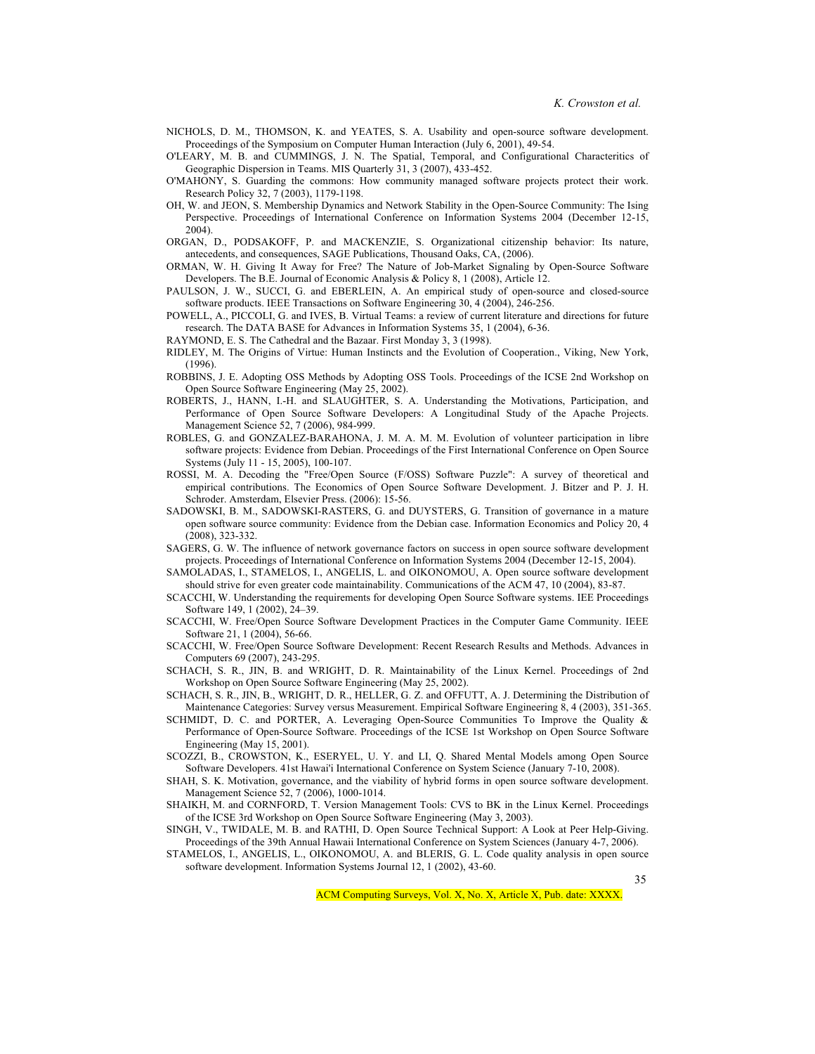- NICHOLS, D. M., THOMSON, K. and YEATES, S. A. Usability and open-source software development. Proceedings of the Symposium on Computer Human Interaction (July 6, 2001), 49-54.
- O'LEARY, M. B. and CUMMINGS, J. N. The Spatial, Temporal, and Configurational Characteritics of Geographic Dispersion in Teams. MIS Quarterly 31, 3 (2007), 433-452.
- O'MAHONY, S. Guarding the commons: How community managed software projects protect their work. Research Policy 32, 7 (2003), 1179-1198.
- OH, W. and JEON, S. Membership Dynamics and Network Stability in the Open-Source Community: The Ising Perspective. Proceedings of International Conference on Information Systems 2004 (December 12-15, 2004).
- ORGAN, D., PODSAKOFF, P. and MACKENZIE, S. Organizational citizenship behavior: Its nature, antecedents, and consequences, SAGE Publications, Thousand Oaks, CA, (2006).
- ORMAN, W. H. Giving It Away for Free? The Nature of Job-Market Signaling by Open-Source Software Developers. The B.E. Journal of Economic Analysis & Policy 8, 1 (2008), Article 12.
- PAULSON, J. W., SUCCI, G. and EBERLEIN, A. An empirical study of open-source and closed-source software products. IEEE Transactions on Software Engineering 30, 4 (2004), 246-256.
- POWELL, A., PICCOLI, G. and IVES, B. Virtual Teams: a review of current literature and directions for future research. The DATA BASE for Advances in Information Systems 35, 1 (2004), 6-36.
- RAYMOND, E. S. The Cathedral and the Bazaar. First Monday 3, 3 (1998).
- RIDLEY, M. The Origins of Virtue: Human Instincts and the Evolution of Cooperation., Viking, New York, (1996).
- ROBBINS, J. E. Adopting OSS Methods by Adopting OSS Tools. Proceedings of the ICSE 2nd Workshop on Open Source Software Engineering (May 25, 2002).
- ROBERTS, J., HANN, I.-H. and SLAUGHTER, S. A. Understanding the Motivations, Participation, and Performance of Open Source Software Developers: A Longitudinal Study of the Apache Projects. Management Science 52, 7 (2006), 984-999.
- ROBLES, G. and GONZALEZ-BARAHONA, J. M. A. M. M. Evolution of volunteer participation in libre software projects: Evidence from Debian. Proceedings of the First International Conference on Open Source Systems (July 11 - 15, 2005), 100-107.
- ROSSI, M. A. Decoding the "Free/Open Source (F/OSS) Software Puzzle": A survey of theoretical and empirical contributions. The Economics of Open Source Software Development. J. Bitzer and P. J. H. Schroder. Amsterdam, Elsevier Press. (2006): 15-56.
- SADOWSKI, B. M., SADOWSKI-RASTERS, G. and DUYSTERS, G. Transition of governance in a mature open software source community: Evidence from the Debian case. Information Economics and Policy 20, 4 (2008), 323-332.
- SAGERS, G. W. The influence of network governance factors on success in open source software development projects. Proceedings of International Conference on Information Systems 2004 (December 12-15, 2004).
- SAMOLADAS, I., STAMELOS, I., ANGELIS, L. and OIKONOMOU, A. Open source software development should strive for even greater code maintainability. Communications of the ACM 47, 10 (2004), 83-87.
- SCACCHI, W. Understanding the requirements for developing Open Source Software systems. IEE Proceedings Software 149, 1 (2002), 24–39.
- SCACCHI, W. Free/Open Source Software Development Practices in the Computer Game Community. IEEE Software 21, 1 (2004), 56-66.
- SCACCHI, W. Free/Open Source Software Development: Recent Research Results and Methods. Advances in Computers 69 (2007), 243-295.
- SCHACH, S. R., JIN, B. and WRIGHT, D. R. Maintainability of the Linux Kernel. Proceedings of 2nd Workshop on Open Source Software Engineering (May 25, 2002).
- SCHACH, S. R., JIN, B., WRIGHT, D. R., HELLER, G. Z. and OFFUTT, A. J. Determining the Distribution of Maintenance Categories: Survey versus Measurement. Empirical Software Engineering 8, 4 (2003), 351-365.
- SCHMIDT, D. C. and PORTER, A. Leveraging Open-Source Communities To Improve the Quality & Performance of Open-Source Software. Proceedings of the ICSE 1st Workshop on Open Source Software Engineering (May 15, 2001).
- SCOZZI, B., CROWSTON, K., ESERYEL, U. Y. and LI, Q. Shared Mental Models among Open Source Software Developers. 41st Hawai'i International Conference on System Science (January 7-10, 2008).
- SHAH, S. K. Motivation, governance, and the viability of hybrid forms in open source software development. Management Science 52, 7 (2006), 1000-1014.
- SHAIKH, M. and CORNFORD, T. Version Management Tools: CVS to BK in the Linux Kernel. Proceedings of the ICSE 3rd Workshop on Open Source Software Engineering (May 3, 2003).
- SINGH, V., TWIDALE, M. B. and RATHI, D. Open Source Technical Support: A Look at Peer Help-Giving. Proceedings of the 39th Annual Hawaii International Conference on System Sciences (January 4-7, 2006).
- STAMELOS, I., ANGELIS, L., OIKONOMOU, A. and BLERIS, G. L. Code quality analysis in open source software development. Information Systems Journal 12, 1 (2002), 43-60.

ACM Computing Surveys, Vol. X, No. X, Article X, Pub. date: XXXX.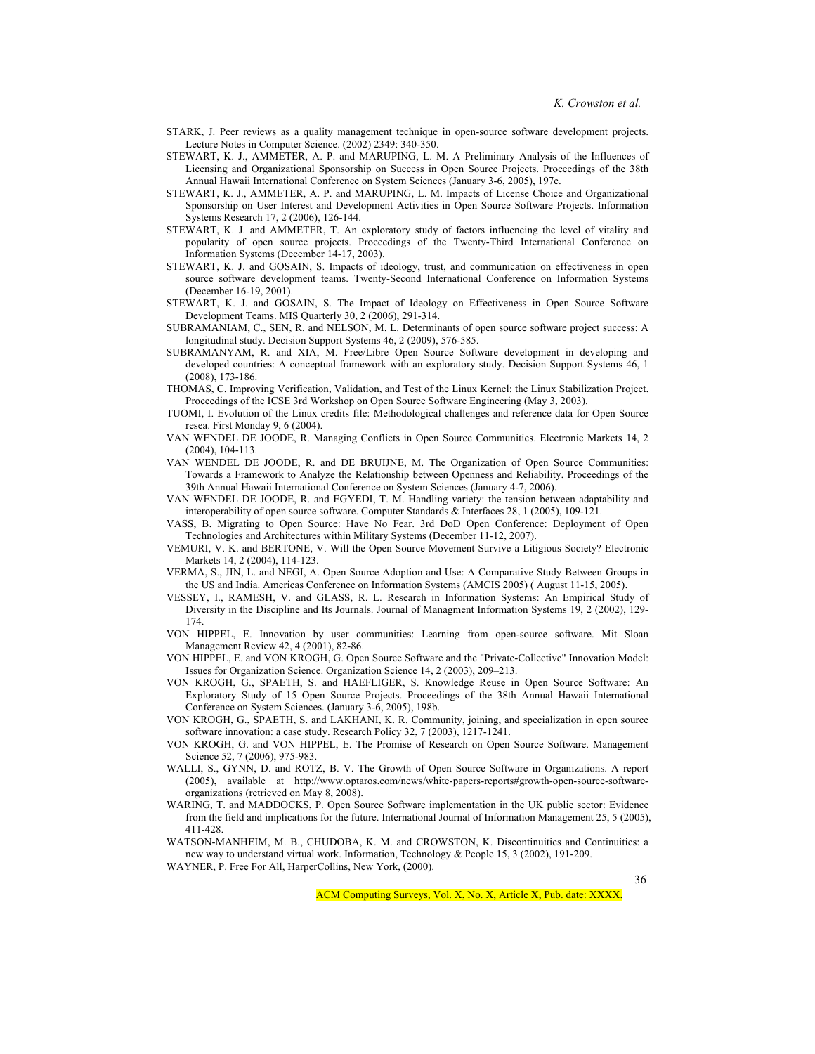- STARK, J. Peer reviews as a quality management technique in open-source software development projects. Lecture Notes in Computer Science. (2002) 2349: 340-350.
- STEWART, K. J., AMMETER, A. P. and MARUPING, L. M. A Preliminary Analysis of the Influences of Licensing and Organizational Sponsorship on Success in Open Source Projects. Proceedings of the 38th Annual Hawaii International Conference on System Sciences (January 3-6, 2005), 197c.
- STEWART, K. J., AMMETER, A. P. and MARUPING, L. M. Impacts of License Choice and Organizational Sponsorship on User Interest and Development Activities in Open Source Software Projects. Information Systems Research 17, 2 (2006), 126-144.
- STEWART, K. J. and AMMETER, T. An exploratory study of factors influencing the level of vitality and popularity of open source projects. Proceedings of the Twenty-Third International Conference on Information Systems (December 14-17, 2003).
- STEWART, K. J. and GOSAIN, S. Impacts of ideology, trust, and communication on effectiveness in open source software development teams. Twenty-Second International Conference on Information Systems (December 16-19, 2001).
- STEWART, K. J. and GOSAIN, S. The Impact of Ideology on Effectiveness in Open Source Software Development Teams. MIS Quarterly 30, 2 (2006), 291-314.
- SUBRAMANIAM, C., SEN, R. and NELSON, M. L. Determinants of open source software project success: A longitudinal study. Decision Support Systems 46, 2 (2009), 576-585.
- SUBRAMANYAM, R. and XIA, M. Free/Libre Open Source Software development in developing and developed countries: A conceptual framework with an exploratory study. Decision Support Systems 46, 1 (2008), 173-186.
- THOMAS, C. Improving Verification, Validation, and Test of the Linux Kernel: the Linux Stabilization Project. Proceedings of the ICSE 3rd Workshop on Open Source Software Engineering (May 3, 2003).
- TUOMI, I. Evolution of the Linux credits file: Methodological challenges and reference data for Open Source resea. First Monday 9, 6 (2004).
- VAN WENDEL DE JOODE, R. Managing Conflicts in Open Source Communities. Electronic Markets 14, 2 (2004), 104-113.
- VAN WENDEL DE JOODE, R. and DE BRUIJNE, M. The Organization of Open Source Communities: Towards a Framework to Analyze the Relationship between Openness and Reliability. Proceedings of the 39th Annual Hawaii International Conference on System Sciences (January 4-7, 2006).
- VAN WENDEL DE JOODE, R. and EGYEDI, T. M. Handling variety: the tension between adaptability and interoperability of open source software. Computer Standards & Interfaces 28, 1 (2005), 109-121.
- VASS, B. Migrating to Open Source: Have No Fear. 3rd DoD Open Conference: Deployment of Open Technologies and Architectures within Military Systems (December 11-12, 2007).
- VEMURI, V. K. and BERTONE, V. Will the Open Source Movement Survive a Litigious Society? Electronic Markets 14, 2 (2004), 114-123.
- VERMA, S., JIN, L. and NEGI, A. Open Source Adoption and Use: A Comparative Study Between Groups in the US and India. Americas Conference on Information Systems (AMCIS 2005) ( August 11-15, 2005).
- VESSEY, I., RAMESH, V. and GLASS, R. L. Research in Information Systems: An Empirical Study of Diversity in the Discipline and Its Journals. Journal of Managment Information Systems 19, 2 (2002), 129-174.
- VON HIPPEL, E. Innovation by user communities: Learning from open-source software. Mit Sloan Management Review 42, 4 (2001), 82-86.
- VON HIPPEL, E. and VON KROGH, G. Open Source Software and the "Private-Collective" Innovation Model: Issues for Organization Science. Organization Science 14, 2 (2003), 209–213.
- VON KROGH, G., SPAETH, S. and HAEFLIGER, S. Knowledge Reuse in Open Source Software: An Exploratory Study of 15 Open Source Projects. Proceedings of the 38th Annual Hawaii International Conference on System Sciences. (January 3-6, 2005), 198b.
- VON KROGH, G., SPAETH, S. and LAKHANI, K. R. Community, joining, and specialization in open source software innovation: a case study. Research Policy 32, 7 (2003), 1217-1241.
- VON KROGH, G. and VON HIPPEL, E. The Promise of Research on Open Source Software. Management Science 52, 7 (2006), 975-983.
- WALLI, S., GYNN, D. and ROTZ, B. V. The Growth of Open Source Software in Organizations. A report (2005), available at http://www.optaros.com/news/white-papers-reports#growth-open-source-softwareorganizations (retrieved on May 8, 2008).
- WARING, T. and MADDOCKS, P. Open Source Software implementation in the UK public sector: Evidence from the field and implications for the future. International Journal of Information Management 25, 5 (2005), 411-428.
- WATSON-MANHEIM, M. B., CHUDOBA, K. M. and CROWSTON, K. Discontinuities and Continuities: a new way to understand virtual work. Information, Technology & People 15, 3 (2002), 191-209.
- WAYNER, P. Free For All, HarperCollins, New York, (2000).

36

ACM Computing Surveys, Vol. X, No. X, Article X, Pub. date: XXXX.